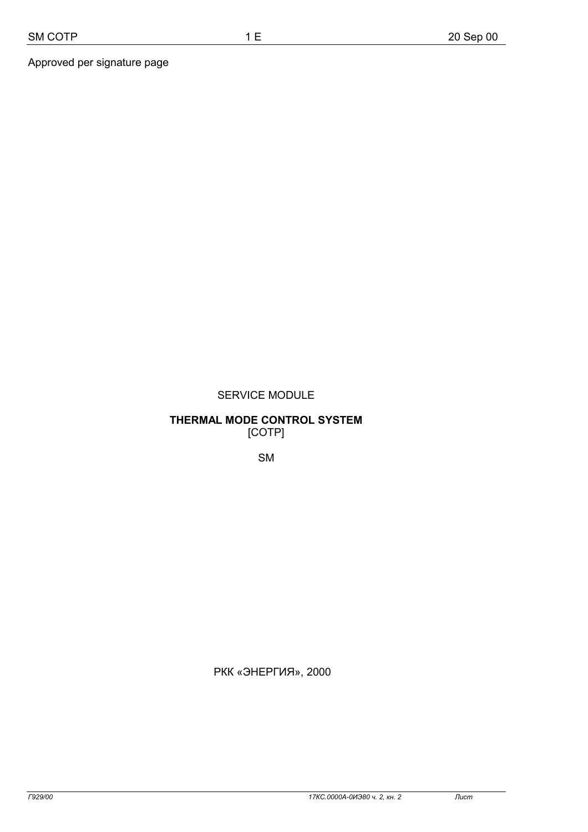## SERVICE MODULE

1 E

## **THERMAL MODE CONTROL SYSTEM**  [COTP]

SM

© РКК «ЭНЕРГИЯ», 2000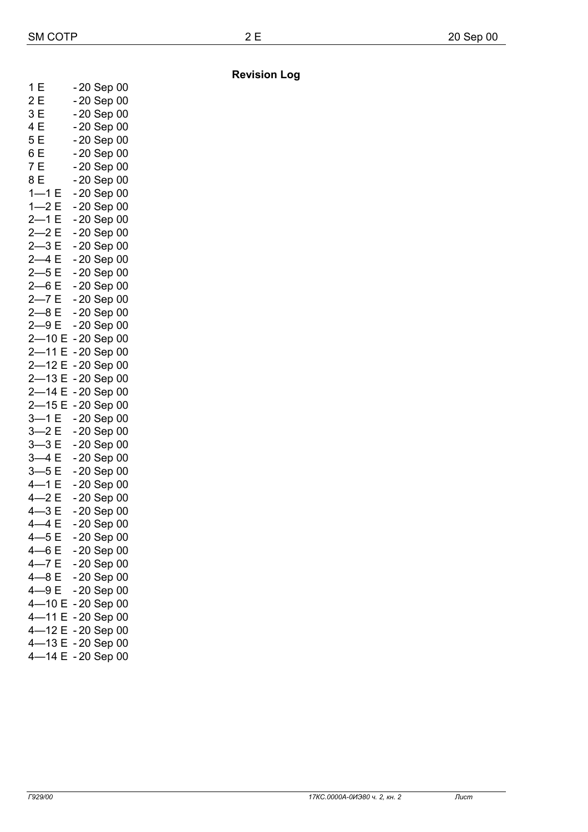| 1E            | - 20 Sep 00  |
|---------------|--------------|
| 2 E           | -20 Sep 00   |
| 3E            | -20 Sep 00   |
| 4 E           | -20 Sep 00   |
| 5E            | -20 Sep 00   |
| 6 E           | -20 Sep 00   |
| 7E            | -20 Sep 00   |
| 8 E           | -20 Sep 00   |
| $1 - 1E$      | -20 Sep 00   |
| $1 - 2E$      | -20 Sep 00   |
| $2 - 1$<br>E  | -20 Sep 00   |
| $2 - 2E$      | -20 Sep 00   |
| $2 - 3E$      | $-20$ Sep 00 |
| $2-4E$        | -20 Sep 00   |
| $2 - 5E$      | -20 Sep 00   |
| $2 - 6E$      | -20 Sep 00   |
| $2 - 7E$      | $-20$ Sep 00 |
| $2 - 8E$      | -20 Sep 00   |
| $2 - 9E$      | -20 Sep 00   |
| $2 - 10E$     | -20 Sep 00   |
| $2 - 11E$     | -20 Sep 00   |
| $2 - 12E$     | -20 Sep 00   |
| $2 - 13E$     | -20 Sep 00   |
| $2 - 14E$     | -20 Sep 00   |
| $2 - 15E$     | -20 Sep 00   |
| $3 - 1$ E     | -20 Sep 00   |
| $3 - 2E$      | -20 Sep 00   |
| $3 - 3E$      | -20 Sep 00   |
| $3-4E$        | -20 Sep 00   |
| $3 - 5E$      | $-20$ Sep 00 |
| $4 - 1 E$     | -20 Sep 00   |
| $4 - 2E$      | -20 Sep 00   |
| $4 - 3E$      | -20 Sep 00   |
| $4-4E$        | -20 Sep 00   |
| 4—5 E         | - 20 Sep 00  |
| $4 - 6E$      | -20 Sep 00   |
| $4 - 7E$      | -20 Sep 00   |
| $4 - 8E$      | -20 Sep 00   |
| 4-9E          | -20 Sep 00   |
| $4 - 10E$     | -20 Sep 00   |
| $4 - 11$<br>E | -20 Sep 00   |
| $4 - 12E$     | -20 Sep 00   |
| $4 - 13 E$    | -20 Sep 00   |
| $4 - 14E$     | -20 Sep 00   |

**Revision Log** 

2 E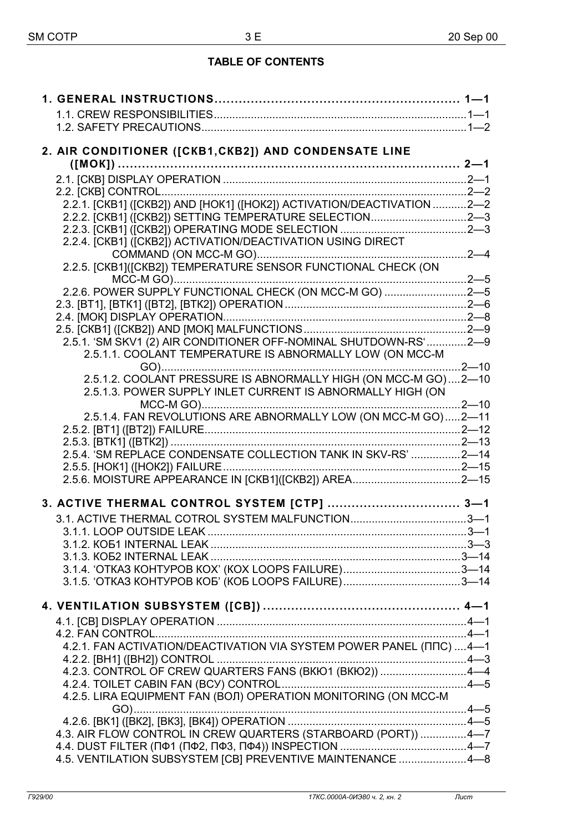# **TABLE OF CONTENTS**

| 2. AIR CONDITIONER ([CKB1, CKB2]) AND CONDENSATE LINE                  |  |
|------------------------------------------------------------------------|--|
|                                                                        |  |
|                                                                        |  |
|                                                                        |  |
| 2.2.1. [CKB1] ([CKB2]) AND [HOK1] ([HOK2]) ACTIVATION/DEACTIVATION 2-2 |  |
| 2.2.2. [CKB1] ([CKB2]) SETTING TEMPERATURE SELECTION2-3                |  |
|                                                                        |  |
| 2.2.4. [CKB1] ([CKB2]) ACTIVATION/DEACTIVATION USING DIRECT            |  |
|                                                                        |  |
| 2.2.5. [CKB1]([CKB2]) TEMPERATURE SENSOR FUNCTIONAL CHECK (ON          |  |
| 2.2.6. POWER SUPPLY FUNCTIONAL CHECK (ON MCC-M GO) 2-5                 |  |
|                                                                        |  |
|                                                                        |  |
|                                                                        |  |
| 2.5.1. 'SM SKV1 (2) AIR CONDITIONER OFF-NOMINAL SHUTDOWN-RS'2-9        |  |
| 2.5.1.1. COOLANT TEMPERATURE IS ABNORMALLY LOW (ON MCC-M               |  |
|                                                                        |  |
| 2.5.1.2. COOLANT PRESSURE IS ABNORMALLY HIGH (ON MCC-M GO)2-10         |  |
| 2.5.1.3. POWER SUPPLY INLET CURRENT IS ABNORMALLY HIGH (ON             |  |
|                                                                        |  |
| 2.5.1.4. FAN REVOLUTIONS ARE ABNORMALLY LOW (ON MCC-M GO)2-11          |  |
|                                                                        |  |
|                                                                        |  |
| 2.5.4. 'SM REPLACE CONDENSATE COLLECTION TANK IN SKV-RS' 2-14          |  |
|                                                                        |  |
|                                                                        |  |
| 3. ACTIVE THERMAL CONTROL SYSTEM [CTP]  3-1                            |  |
|                                                                        |  |
| 3.1.1. LOOP OUTSIDE LEAK<br>$3-1$                                      |  |
|                                                                        |  |
|                                                                        |  |
| 3.1.4. 'OTKA3 KOHTYPOB KOX' (KOX LOOPS FAILURE)3-14                    |  |
| 3.1.5. 'OTKA3 KOHTYPOB KOE' (KOE LOOPS FAILURE)3-14                    |  |
|                                                                        |  |
|                                                                        |  |
|                                                                        |  |
|                                                                        |  |
| 4.2.1. FAN ACTIVATION/DEACTIVATION VIA SYSTEM POWER PANEL (ΠΠC)  4-1   |  |
|                                                                        |  |
| 4.2.3. CONTROL OF CREW QUARTERS FANS (BKIO1 (BKIO2)) 4-4               |  |
|                                                                        |  |
| 4.2.5. LIRA EQUIPMENT FAN (BOJI) OPERATION MONITORING (ON MCC-M        |  |
|                                                                        |  |
|                                                                        |  |
| 4.3. AIR FLOW CONTROL IN CREW QUARTERS (STARBOARD (PORT)) 4-7          |  |
| 4.5. VENTILATION SUBSYSTEM [CB] PREVENTIVE MAINTENANCE 4-8             |  |
|                                                                        |  |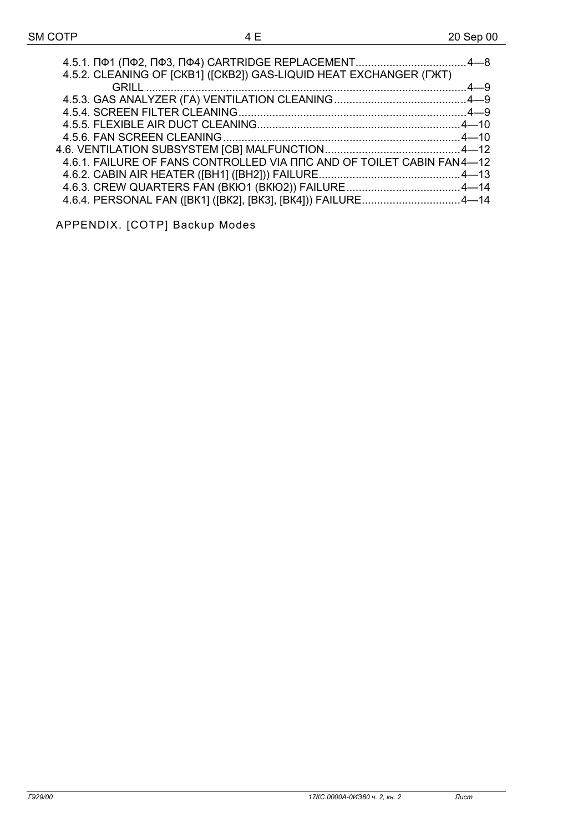| 4.5.2. CLEANING OF [CKB1] ([CKB2]) GAS-LIQUID HEAT EXCHANGER (TXT)    |  |
|-----------------------------------------------------------------------|--|
|                                                                       |  |
|                                                                       |  |
|                                                                       |  |
|                                                                       |  |
|                                                                       |  |
|                                                                       |  |
| 4.6.1. FAILURE OF FANS CONTROLLED VIA ΠΠC AND OF TOILET CABIN FAN4-12 |  |
|                                                                       |  |
|                                                                       |  |
| 4.6.4. PERSONAL FAN ([BK1] ([BK2], [BK3], [BK4])) FAILURE4-14         |  |

APPENDIX. [COTP] Backup Modes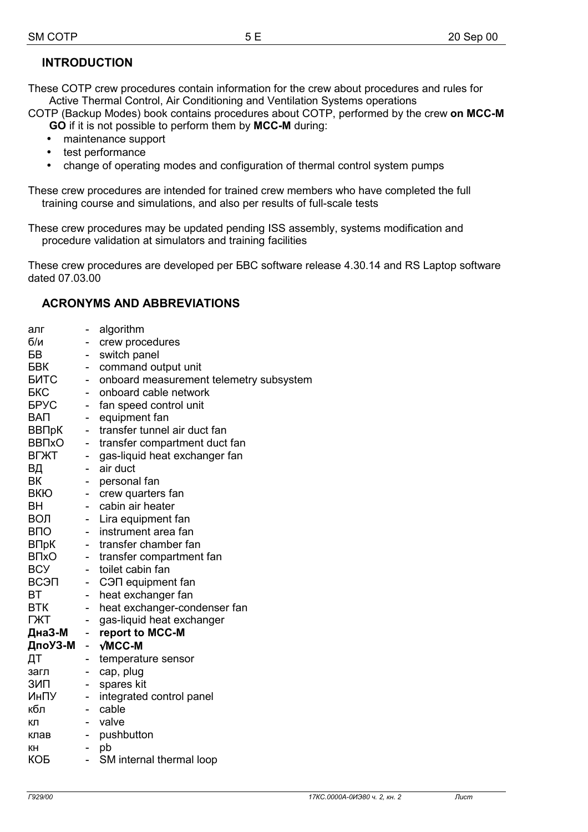# **INTRODUCTION**

These СОТР crew procedures contain information for the crew about procedures and rules for Active Thermal Control, Air Conditioning and Ventilation Systems operations

СОТР (Backup Modes) book contains procedures about СОТР, performed by the crew **on MCC-M GO** if it is not possible to perform them by **MCC-M** during:

- maintenance support
- test performance
- change of operating modes and configuration of thermal control system pumps

These crew procedures are intended for trained crew members who have completed the full training course and simulations, and also per results of full-scale tests

These crew procedures may be updated pending ISS assembly, systems modification and procedure validation at simulators and training facilities

These crew procedures are developed per БВС software release 4.30.14 and RS Laptop software dated 07.03.00

# **ACRONYMS AND ABBREVIATIONS**

| алг                     | $\qquad \qquad \blacksquare$ | algorithm                               |
|-------------------------|------------------------------|-----------------------------------------|
| 6/n                     |                              | crew procedures                         |
| БB                      | $\overline{\phantom{0}}$     | switch panel                            |
| <b>FBK</b>              | -                            | command output unit                     |
| <b>ENTC</b>             | ÷,                           | onboard measurement telemetry subsystem |
| <b>FKC</b>              |                              | onboard cable network                   |
| <b>FPYC</b>             | $\overline{\phantom{0}}$     | fan speed control unit                  |
| <b>BAN</b>              | - 1                          | equipment fan                           |
| ВВПрК                   | $\overline{\phantom{0}}$     | transfer tunnel air duct fan            |
| <b>BB<sub>TxO</sub></b> | $\blacksquare$               | transfer compartment duct fan           |
| <b>BLXLL</b>            | -                            | gas-liquid heat exchanger fan           |
| ΒД                      | ÷                            | air duct                                |
| BK                      |                              | personal fan                            |
| <b>BKIO</b>             | $\overline{\phantom{0}}$     | crew quarters fan                       |
| <b>BH</b>               | $\overline{\phantom{0}}$     | cabin air heater                        |
| ВОЛ                     | $\overline{\phantom{0}}$     | Lira equipment fan                      |
| <b>B<sub>IO</sub></b>   | н.                           | instrument area fan                     |
| ВПрК                    | 40                           | transfer chamber fan                    |
| <b>B</b> <sub>N</sub> O | $\blacksquare$               | transfer compartment fan                |
| <b>BCY</b>              | $\sim$                       | toilet cabin fan                        |
| ВСЭП                    | $\overline{\phantom{0}}$     | C <sub>3</sub> ∏ equipment fan          |
| ВT                      | -                            | heat exchanger fan                      |
| <b>BTK</b>              | $\overline{\phantom{0}}$     | heat exchanger-condenser fan            |
| ГЖТ                     | $\overline{\phantom{0}}$     | gas-liquid heat exchanger               |
| ДнаЗ-М                  | ÷,                           | report to MCC-M                         |
| ДпоУЗ-М                 | $\omega_{\rm{eff}}$          | $\sqrt{MCC-M}$                          |
| ДΤ                      |                              | temperature sensor                      |
| загл                    | -                            | cap, plug                               |
| ЗИП                     | $\overline{\phantom{0}}$     | spares kit                              |
| ИнПУ                    | $\blacksquare$               | integrated control panel                |
| кбл                     | н.                           | cable                                   |
| кл                      | - 1                          | valve                                   |
| клав                    | -                            | pushbutton                              |
| КΗ                      | -                            | pb                                      |
| КОБ                     |                              | SM internal thermal loop                |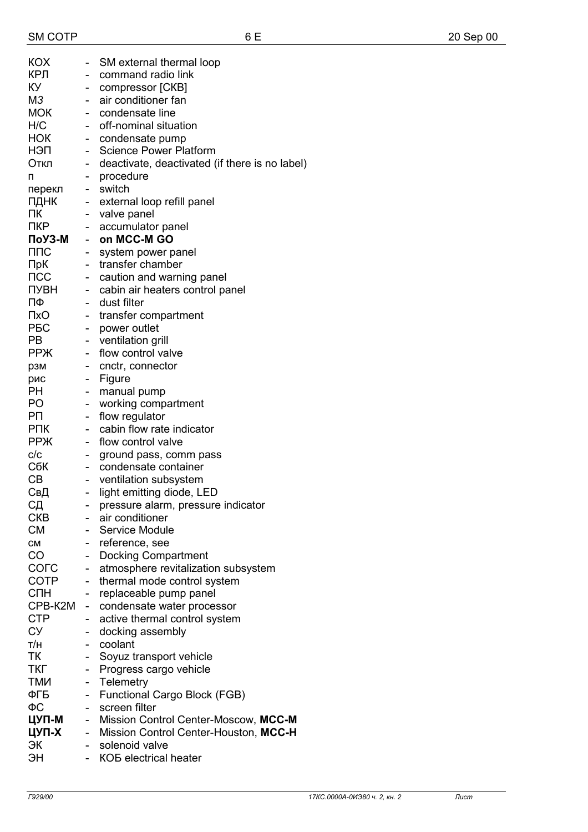| KOX                           |                              | SM external thermal loop                       |
|-------------------------------|------------------------------|------------------------------------------------|
| КРЛ                           |                              | command radio link                             |
| КУ                            |                              | compressor [CKB]                               |
| M3                            | $\qquad \qquad \blacksquare$ | air conditioner fan                            |
| <b>MOK</b>                    | $\sim$                       | condensate line                                |
| H/C                           | ÷.                           | off-nominal situation                          |
| НОК                           |                              | - condensate pump                              |
| нэп                           | ÷.                           | <b>Science Power Platform</b>                  |
| Откл                          | ÷,                           | deactivate, deactivated (if there is no label) |
| п                             |                              | procedure                                      |
| перекл                        |                              | switch                                         |
| ПДНК                          | $\sim$                       | external loop refill panel                     |
| ΠК                            | $\sim$                       | valve panel                                    |
| <b>NKP</b>                    | $\sim$                       | accumulator panel                              |
| ПоУЗ-М                        | $\mathbf{r}$                 | on MCC-M GO                                    |
| ППС                           | $\sim$                       | system power panel                             |
| ПрК                           | $\mathbf{L}^{\mathcal{A}}$   | transfer chamber                               |
| $\sf{TCC}$                    | $\overline{\phantom{0}}$     | caution and warning panel                      |
| ПУВН                          | - 1                          | cabin air heaters control panel                |
| ПΦ                            | $\sim$                       | dust filter                                    |
| ПxО                           | $\sim$                       | transfer compartment                           |
| <b>PEC</b>                    | $\mathbf{L}^{\text{max}}$    | power outlet                                   |
| PB                            | -                            | ventilation grill                              |
| <b>PPЖ</b>                    | $\sim$                       | flow control valve                             |
| рзм                           |                              | cnctr, connector                               |
| рис                           | $\sim$                       | Figure                                         |
| PН                            | - 1                          | manual pump                                    |
| PO                            | -                            | working compartment                            |
| PП                            | н.                           | flow regulator                                 |
| <b>PNK</b>                    | - 1                          | cabin flow rate indicator                      |
| <b>PP</b> <sup>X</sup><br>C/C | $\sim$                       | flow control valve                             |
| СбК                           | $\qquad \qquad \blacksquare$ | ground pass, comm pass<br>condensate container |
| СB                            | $\qquad \qquad \blacksquare$ | - ventilation subsystem                        |
| СвД                           |                              | light emitting diode, LED                      |
| СД                            |                              | pressure alarm, pressure indicator             |
| <b>CKB</b>                    |                              | air conditioner                                |
| <b>CM</b>                     | $\sim$                       | Service Module                                 |
| CM                            |                              | reference, see                                 |
| CO                            |                              | <b>Docking Compartment</b>                     |
| COLC                          | -                            | atmosphere revitalization subsystem            |
| <b>COTP</b>                   | ÷,                           | thermal mode control system                    |
| СПН                           | -                            | replaceable pump panel                         |
| CPB-K2M                       | - 1                          | condensate water processor                     |
| <b>CTP</b>                    | -                            | active thermal control system                  |
| CУ                            | -                            | docking assembly                               |
| т/н                           |                              | coolant                                        |
| TК                            |                              | Soyuz transport vehicle                        |
| ТКГ                           | -                            | Progress cargo vehicle                         |
| ТМИ                           | $\overline{\phantom{0}}$     | Telemetry                                      |
| ФГБ                           | $\overline{\phantom{a}}$     | Functional Cargo Block (FGB)                   |
| ФC                            | $\sim$                       | screen filter                                  |
| ЦУП-М                         | $\blacksquare$               | Mission Control Center-Moscow, MCC-M           |
| ЦУП-Х                         | ÷.                           | Mission Control Center-Houston, MCC-H          |
| ЭК                            |                              | solenoid valve                                 |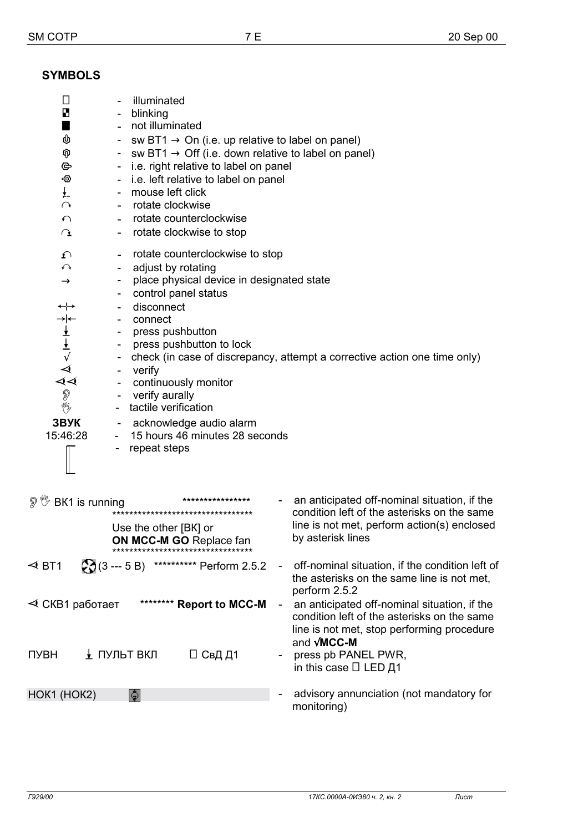# **SYMBOLS**

| ▯<br>B<br>φ<br>⊝<br>ჟ<br>¥-<br>$\curvearrowright$<br>$\bigcap$<br>$\Omega$<br>ᡗ<br>$\curvearrowleft$<br>$\rightarrow$<br>$\leftrightarrow$<br>$\frac{\Delta}{\Delta} \Delta \ll 1$<br>P<br>Y<br>ЗВУК<br>15:46:28 | illuminated<br>blinking<br>not illuminated<br>sw BT1 $\rightarrow$ On (i.e. up relative to label on panel)<br>sw BT1 $\rightarrow$ Off (i.e. down relative to label on panel)<br>i.e. right relative to label on panel<br>i.e. left relative to label on panel<br>mouse left click<br>rotate clockwise<br>rotate counterclockwise<br>rotate clockwise to stop<br>۰.<br>rotate counterclockwise to stop<br>adjust by rotating<br>$\overline{\phantom{a}}$<br>place physical device in designated state<br>control panel status<br>disconnect<br>connect<br>press pushbutton<br>press pushbutton to lock<br>verify<br>continuously monitor<br>verify aurally<br>tactile verification<br>acknowledge audio alarm<br>15 hours 46 minutes 28 seconds<br>repeat steps |                          | check (in case of discrepancy, attempt a corrective action one time only)                                                                                                            |
|------------------------------------------------------------------------------------------------------------------------------------------------------------------------------------------------------------------|-----------------------------------------------------------------------------------------------------------------------------------------------------------------------------------------------------------------------------------------------------------------------------------------------------------------------------------------------------------------------------------------------------------------------------------------------------------------------------------------------------------------------------------------------------------------------------------------------------------------------------------------------------------------------------------------------------------------------------------------------------------------|--------------------------|--------------------------------------------------------------------------------------------------------------------------------------------------------------------------------------|
| இ <sup>™</sup> BK1 is running                                                                                                                                                                                    | ****************<br>**********************************<br>Use the other [BK] or<br><b>ON MCC-M GO Replace fan</b><br>*********************************                                                                                                                                                                                                                                                                                                                                                                                                                                                                                                                                                                                                          |                          | an anticipated off-nominal situation, if the<br>condition left of the asterisks on the same<br>line is not met, perform action(s) enclosed<br>by asterisk lines                      |
|                                                                                                                                                                                                                  | <b> ◆ BT1 — ② (3 --- 5 B)</b> ********** Perform 2.5.2                                                                                                                                                                                                                                                                                                                                                                                                                                                                                                                                                                                                                                                                                                          | $\overline{\phantom{a}}$ | off-nominal situation, if the condition left of<br>the asterisks on the same line is not met,<br>perform 2.5.2                                                                       |
| ⊲ СКВ1 работает<br>ПУВН                                                                                                                                                                                          | ******** Report to MCC-M<br><u>↓</u> ПУЛЬТ ВКЛ<br>□ СвД Д1                                                                                                                                                                                                                                                                                                                                                                                                                                                                                                                                                                                                                                                                                                      |                          | an anticipated off-nominal situation, if the<br>condition left of the asterisks on the same<br>line is not met, stop performing procedure<br>and <b>MCC-M</b><br>press pb PANEL PWR, |
| HOK1 (HOK2)                                                                                                                                                                                                      | IT I                                                                                                                                                                                                                                                                                                                                                                                                                                                                                                                                                                                                                                                                                                                                                            |                          | in this case $\Box$ LED Д1<br>advisory annunciation (not mandatory for<br>monitoring)                                                                                                |
|                                                                                                                                                                                                                  |                                                                                                                                                                                                                                                                                                                                                                                                                                                                                                                                                                                                                                                                                                                                                                 |                          |                                                                                                                                                                                      |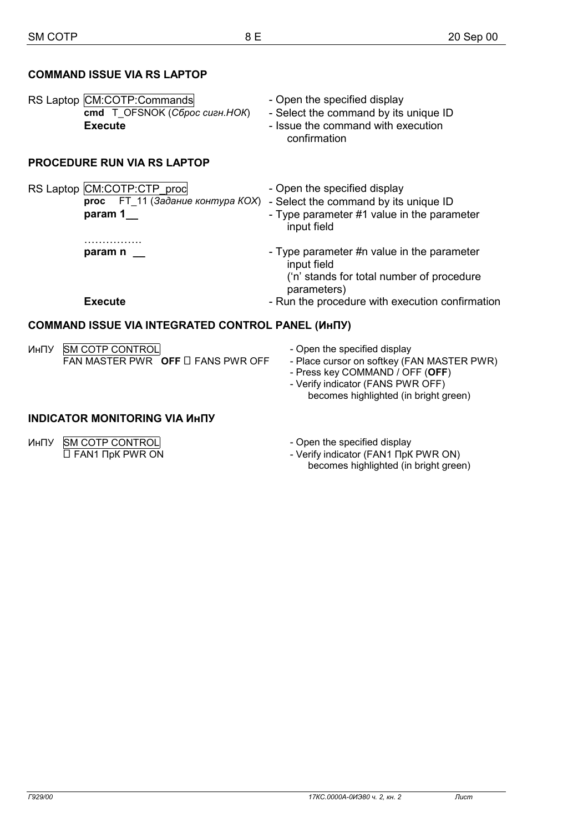### **COMMAND ISSUE VIA RS LAPTOP**

| RS Laptop CM:COTP:Commands    | - Open the specified display          |
|-------------------------------|---------------------------------------|
| cmd T OFSNOK (C6poc cueH.HOK) | - Select the command by its unique ID |
| Execute                       | - Issue the command with execution    |
|                               | confirmation                          |

### **PROCEDURE RUN VIA RS LAPTOP**

RS Laptop CM:COTP:CTP\_proc - Open the specified display  **proc** FT\_11 (*Задание контура КОХ*) - Select the command by its unique ID **param 1** Prope parameter #1 value in the parameter input field ……………. **param n** \_\_ **contained Figure 1** Type parameter #n value in the parameter input field ('n' stands for total number of procedure

parameters) **Execute Execute** - Run the procedure with execution confirmation

## **COMMAND ISSUE VIA INTEGRATED CONTROL PANEL (ИнПУ)**

| <b><i>UHITY SM COTP CONTROL</i></b> |                                        |
|-------------------------------------|----------------------------------------|
|                                     | FAN MASTER PWR OFF $\Box$ FANS PWR OFF |

- Open the specified display

- Place cursor on softkey (FAN MASTER PWR)
- Press key COMMAND / OFF (**OFF**)
- Verify indicator (FANS PWR OFF) becomes highlighted (in bright green)

## **INDICATOR MONITORING VIA ИнПУ**

| <b>ИНПУ SM COTP CONTROL</b>  |
|------------------------------|
| $\Box$ FAN1 $\Box$ pK PWR ON |

- Open the specified display
- Verify indicator (FAN1 ПрК PWR ON) becomes highlighted (in bright green)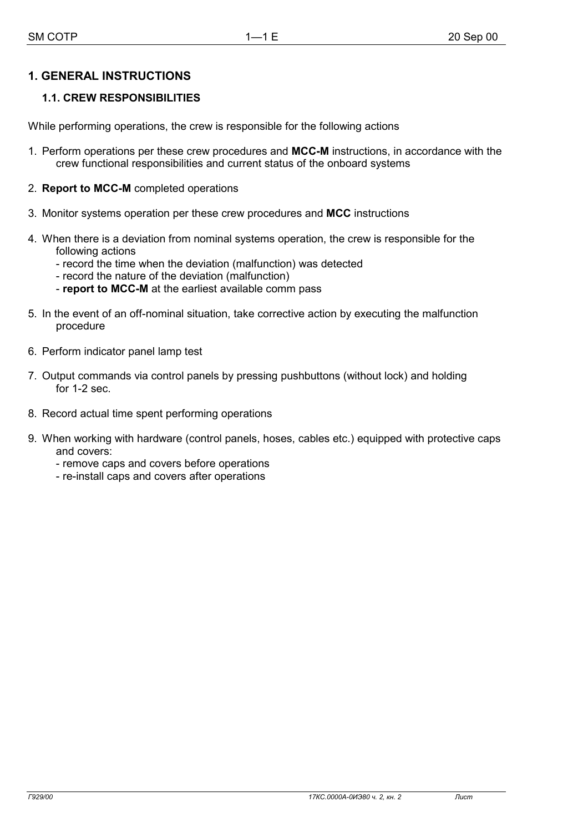# **1. GENERAL INSTRUCTIONS**

# **1.1. CREW RESPONSIBILITIES**

While performing operations, the crew is responsible for the following actions

- 1. Perform operations per these crew procedures and **MCC-M** instructions, in accordance with the crew functional responsibilities and current status of the onboard systems
- 2. **Report to MCC-M** completed operations
- 3. Monitor systems operation per these crew procedures and **MCC** instructions
- 4. When there is a deviation from nominal systems operation, the crew is responsible for the following actions
	- record the time when the deviation (malfunction) was detected
	- record the nature of the deviation (malfunction)
	- **report to MCC-M** at the earliest available comm pass
- 5. In the event of an off-nominal situation, take corrective action by executing the malfunction procedure
- 6. Perform indicator panel lamp test
- 7. Output commands via control panels by pressing pushbuttons (without lock) and holding for 1-2 sec.
- 8. Record actual time spent performing operations
- 9. When working with hardware (control panels, hoses, cables etc.) equipped with protective caps and covers:
	- remove caps and covers before operations
	- re-install caps and covers after operations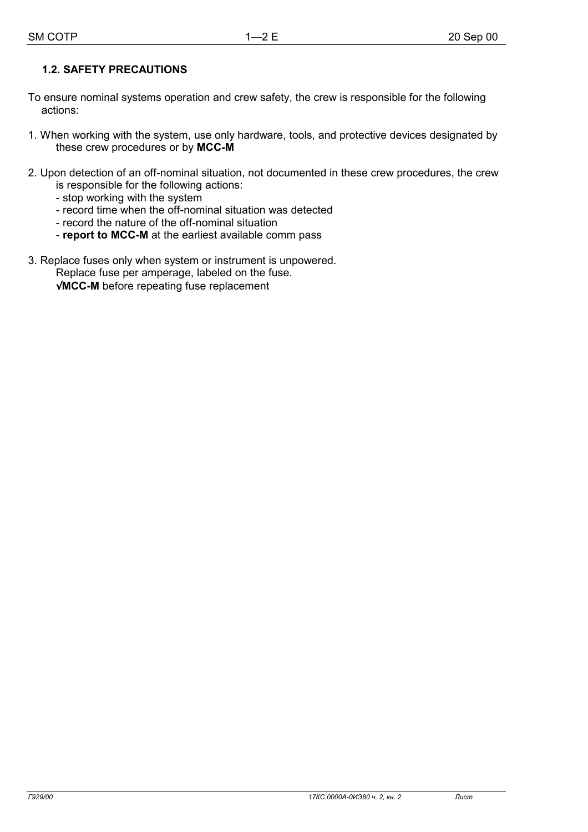# **1.2. SAFETY PRECAUTIONS**

- To ensure nominal systems operation and crew safety, the crew is responsible for the following actions:
- 1. When working with the system, use only hardware, tools, and protective devices designated by these crew procedures or by **MCC-M**
- 2. Upon detection of an off-nominal situation, not documented in these crew procedures, the crew is responsible for the following actions:
	- stop working with the system
	- record time when the off-nominal situation was detected
	- record the nature of the off-nominal situation
	- **report to MCC-M** at the earliest available comm pass
- 3. Replace fuses only when system or instrument is unpowered. Replace fuse per amperage, labeled on the fuse.

√**MCC-M** before repeating fuse replacement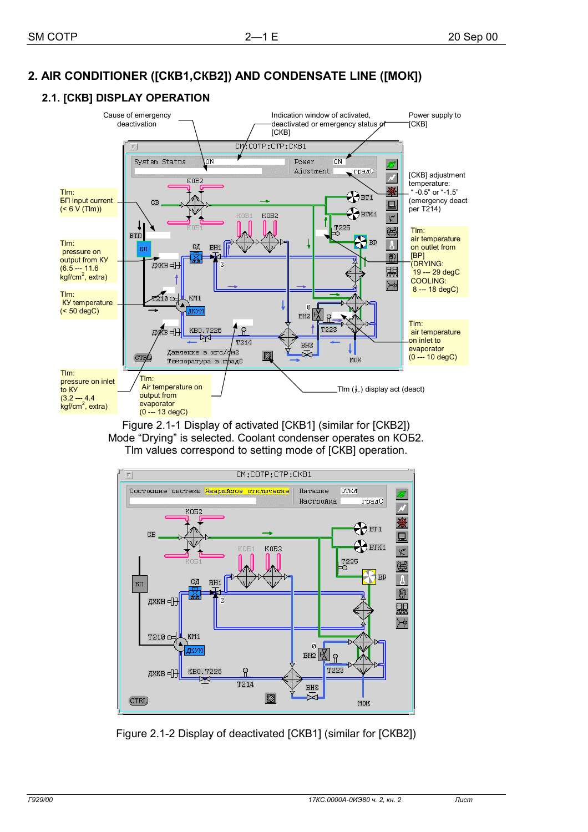# **2. AIR CONDITIONER ([СКВ1,СКВ2]) AND CONDENSATE LINE ([МОК])**

# **2.1. [СКВ] DISPLAY OPERATION**



Figure 2.1-1 Display of activated [СКВ1] (similar for [СКВ2]) Mode "Drying" is selected. Coolant condenser operates on КОБ2. Tlm values correspond to setting mode of [СКВ] operation.



Figure 2.1-2 Display of deactivated [СКВ1] (similar for [СКВ2])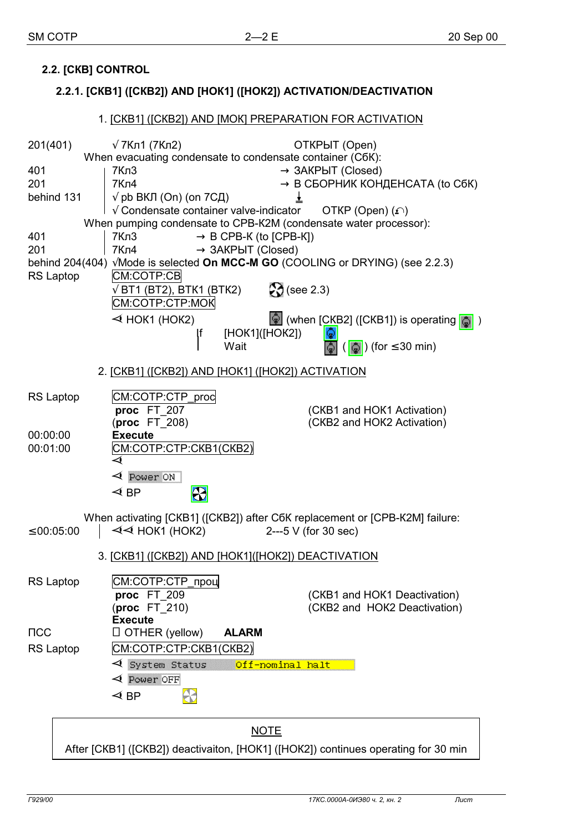# **2.2. [СКВ] CONTROL**

## **2.2.1. [СКВ1] ([СКВ2]) AND [НОК1] ([НОК2]) ACTIVATION/DEACTIVATION**

# 1. [СКВ1] ([СКВ2]) AND [МОК] PREPARATION FOR ACTIVATION  $201(401)$  √ 7Кл1 (7Кл2) — ОТКРЫТ (Open) When evacuating condensate to condensate container (СбК):  $401$   $|7K\pi3$   $\rightarrow 3AKPbIT$  (Closed)  $201$   $\rightarrow$  В СБОРНИК КОНДЕНСАТА (to СбК) behind 131  $\sqrt{\rho}$  pb ВКЛ (On) (on 7СД)  $\qquad \qquad \perp$  $\sqrt{}$  Condensate container valve-indicator  $-$  OTKP (Open) ( $\Omega$ ) When pumping condensate to CPB-K2M (condensate water processor):  $401$   $|7K<sub>0</sub>3$   $\rightarrow$  B CPB-K (to ICPB-KI) 201  $\vert$  7Кл4  $\rightarrow$  ЗАКРЫТ (Closed) behind 204(404) √Mode is selected **On MCC-M GO** (COOLING or DRYING) (see 2.2.3) RS Laptop | CM:COTP:CB  $\sqrt{\text{BT1}}$  (BT2), BTK1 (BTK2)  $\blacksquare$   $\blacksquare$  (see 2.3) СМ:СОТР:СТР:МОК  $\triangleleft$  HOK1 (HOK2)  $\qquad \qquad \hat{\mathcal{Q}}$  (when [CKB2] ([CKB1]) is operating  $\hat{\mathcal{Q}}$  ) If [НОК1]([НОК2]) ۵ Wait  $-\left|\frac{\pi}{2}\right| \left(\left|\frac{\pi}{2}\right|\right)$  (for  $\leq 30$  min) 2. [СКВ1] ([СКВ2]) AND [НОК1] ([НОК2]) ACTIVATION RS Laptop **CM:COTP:CTP\_proc**<br>**proc** FT\_207 **(CKB1 and HOK1 Activation)**  (**proc** FT\_208) (СКВ2 and НОК2 Activation) 00:00:00 **Execute** 00:01:00 СМ:СОТР:СТР:СКВ1(СКВ2)  $\overline{\mathcal{A}}$  $\triangleleft$  Power ON  $\blacktriangleleft$  RP Æ When activating [СКВ1] ([СКВ2]) after СбК replacement or [СРВ-К2М] failure:  $\leq$  00:05:00  $\leq$   $\prec$   $\prec$  HOK1 (HOK2)  $\qquad -2$ ---5 V (for 30 sec) 3. [СКВ1] ([СКВ2]) AND [НОК1]([НОК2]) DEACTIVATION RS Laptop **CM:COTP:CTP\_проц proc** FT 209 (CKB1 and HOK1 Deactivation) (**proc** FT\_210) (СКВ2 and НОК2 Deactivation) **Execute** ПСС □ OTHER (yellow) **ALARM** RS Laptop | CM:COTP:CTP:CKB1(CKB2)  $\triangleleft$  System Status Off-nominal halt  $\triangleleft$  Power OFF  $\triangleleft$  BP æ **NOTE**

After [СКВ1] ([СКВ2]) deactivaiton, [НОК1] ([НОК2]) continues operating for 30 min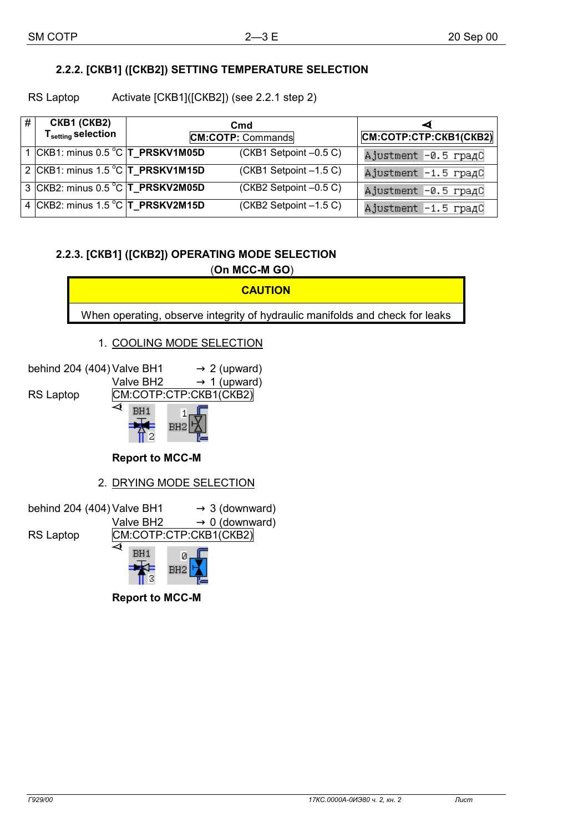# **2.2.2. [СКВ1] ([СКВ2]) SETTING TEMPERATURE SELECTION**

RS Laptop Activate [CKB1]([CKB2]) (see 2.2.1 step 2)

| # | CKB1 (CKB2)<br>T <sub>setting</sub> selection | C <sub>md</sub><br><b>CM:COTP: Commands</b> |                        | ◅<br>CM:COTP:CTP:CKB1(CKB2) |
|---|-----------------------------------------------|---------------------------------------------|------------------------|-----------------------------|
|   | 1 CKB1: minus 0.5 °C T_PRSKV1M05D             |                                             | (CKB1 Setpoint -0.5 C) | Ajustment -0.5 градС        |
|   | 2 CKB1: minus 1.5 °C T_PRSKV1M15D             |                                             | (CKB1 Setpoint -1.5 C) | Ajustment -1.5 градС        |
|   | 3 CKB2: minus 0.5 °C  T_PRSKV2M05D            |                                             | (CKB2 Setpoint -0.5 C) | Ajustment -0.5 градС        |
|   | 4 CKB2: minus 1.5 °C T_PRSKV2M15D             |                                             | (CKB2 Setpoint -1.5 C) | Ajustment -1.5 градС        |

# **2.2.3. [СКВ1] ([СКВ2]) OPERATING MODE SELECTION**  (**On MCC-M GO**)



**Report to MCC-M**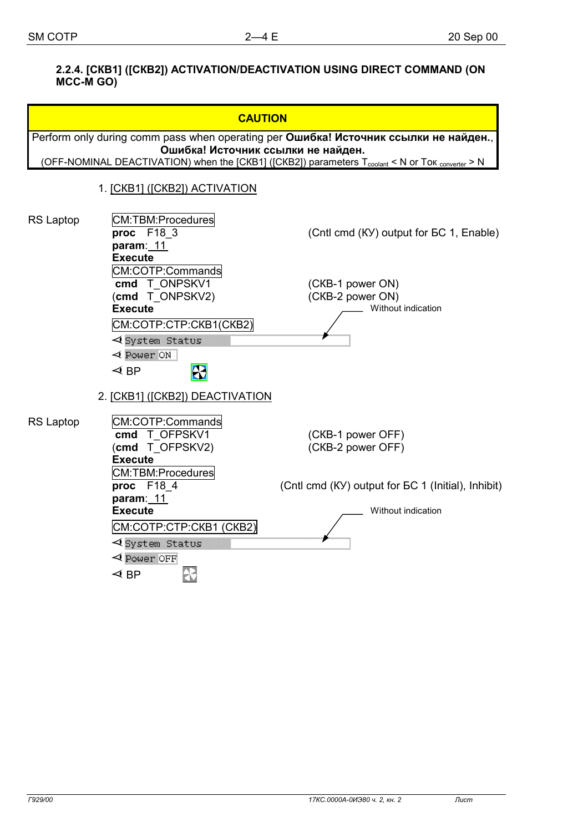### **2.2.4. [СКВ1] ([СКВ2]) ACTIVATION/DEACTIVATION USING DIRECT COMMAND (ON MCC-M GO)**

|                                                                                      | <b>CAUTION</b>                                                                                                                                                |                                                            |  |  |  |  |  |
|--------------------------------------------------------------------------------------|---------------------------------------------------------------------------------------------------------------------------------------------------------------|------------------------------------------------------------|--|--|--|--|--|
| Perform only during comm pass when operating per Ошибка! Источник ссылки не найден., |                                                                                                                                                               |                                                            |  |  |  |  |  |
|                                                                                      | Ошибка! Источник ссылки не найден.<br>(OFF-NOMINAL DEACTIVATION) when the [CKB1] ([CKB2]) parameters T <sub>coolant</sub> < N or Tok <sub>converter</sub> > N |                                                            |  |  |  |  |  |
|                                                                                      |                                                                                                                                                               |                                                            |  |  |  |  |  |
|                                                                                      | 1. [CKB1] ([CKB2]) ACTIVATION                                                                                                                                 |                                                            |  |  |  |  |  |
| <b>RS Laptop</b>                                                                     | CM:TBM:Procedures<br>proc F18 3<br>param: $11$                                                                                                                | (Cntl cmd (KY) output for BC 1, Enable)                    |  |  |  |  |  |
|                                                                                      | <b>Execute</b><br>CM:COTP:Commands<br>cmd T ONPSKV1<br>(cmd T_ONPSKV2)<br><b>Execute</b><br>CM:COTP:CTP:CKB1(CKB2)<br><b>くSystem Status</b>                   | (CKB-1 power ON)<br>(CKB-2 power ON)<br>Without indication |  |  |  |  |  |
|                                                                                      | $\triangleleft$ Power ON<br>- <mark>13</mark><br>$\triangleleft$ BP                                                                                           |                                                            |  |  |  |  |  |
|                                                                                      | 2. [CKB1] ([CKB2]) DEACTIVATION                                                                                                                               |                                                            |  |  |  |  |  |
| RS Laptop                                                                            | CM:COTP:Commands<br>cmd T OFPSKV1<br>(cmd T OFPSKV2)<br><b>Execute</b>                                                                                        | (CKB-1 power OFF)<br>(CKB-2 power OFF)                     |  |  |  |  |  |
|                                                                                      | CM:TBM:Procedures<br>proc F18 4<br>param: 11                                                                                                                  | (Cntl cmd (KY) output for EC 1 (Initial), Inhibit)         |  |  |  |  |  |
|                                                                                      | <b>Execute</b>                                                                                                                                                | Without indication                                         |  |  |  |  |  |
|                                                                                      | CM:COTP:CTP:CKB1 (CKB2)                                                                                                                                       |                                                            |  |  |  |  |  |
|                                                                                      | <b>⊲</b> System Status                                                                                                                                        |                                                            |  |  |  |  |  |
|                                                                                      | $\triangleleft$ Power OFF<br>$\triangleleft$ BP                                                                                                               |                                                            |  |  |  |  |  |
|                                                                                      |                                                                                                                                                               |                                                            |  |  |  |  |  |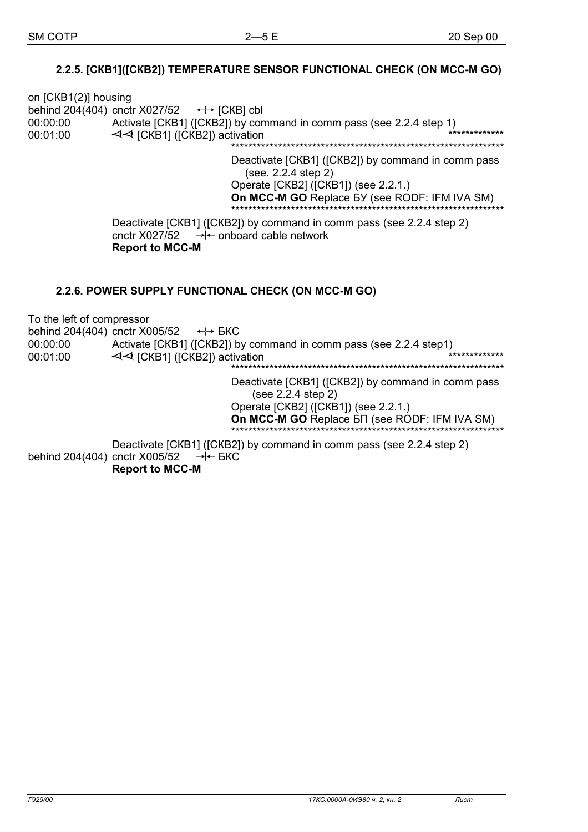### 2.2.5. [CKB1]([CKB2]) TEMPERATURE SENSOR FUNCTIONAL CHECK (ON MCC-M GO)

on [CKB1(2)] housing behind 204(404) cnctr X027/52  $\leftrightarrow$  [CKB] cbl Activate [CKB1] ([CKB2]) by command in comm pass (see 2.2.4 step 1) 00:00:00 EXEMPIH ([CKB2]) activation 00:01:00 Deactivate [CKB1] ([CKB2]) by command in comm pass (see. 2.2.4 step 2) Operate [CKB2] ([CKB1]) (see 2.2.1.) On MCC-M GO Replace BY (see RODF: IFM IVA SM) Deactivate [CKB1] ([CKB2]) by command in comm pass (see 2.2.4 step 2) cnctr X027/52  $\rightarrow$   $\leftarrow$  onboard cable network **Report to MCC-M** 2.2.6. POWER SUPPLY FUNCTIONAL CHECK (ON MCC-M GO) To the left of compressor behind 204(404) cnctr X005/52  $\leftrightarrow$  БКС  $00.00 \cdot 00$ Activate [CKB1] ([CKB2]) by command in comm pass (see 2.2.4 step1)  $\prec$  [CKB1] ([CKB2]) activation 00:01:00 

Deactivate [CKB1] ([CKB2]) by command in comm pass (see 2.2.4 step 2) Operate [CKB2] ([CKB1]) (see 2.2.1.) On MCC-M GO Replace 5 T (see RODF: IFM IVA SM)

Deactivate [CKB1] ([CKB2]) by command in comm pass (see 2.2.4 step 2) behind 204(404) cnctr X005/52  $\rightarrow \leftarrow$  BKC **Report to MCC-M**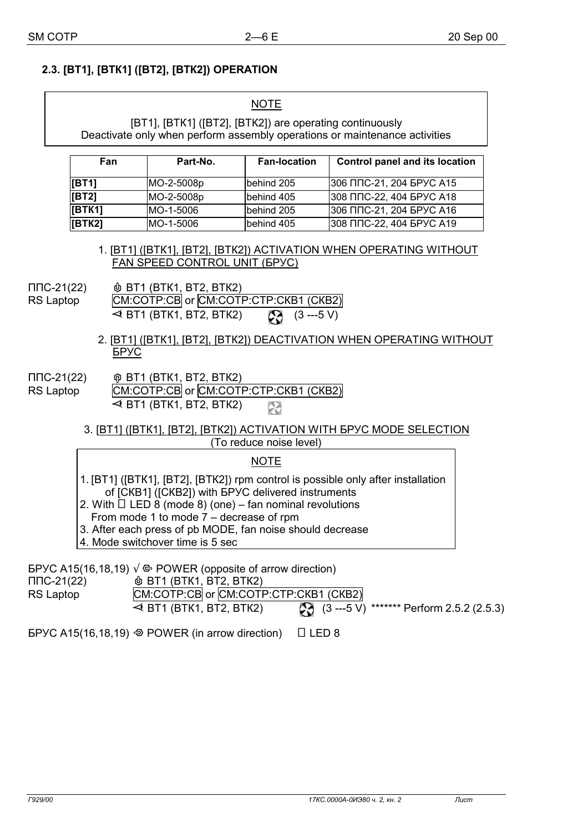# **2.3. [ВТ1], [ВТК1] ([ВТ2], [ВТК2]) OPERATION**

|                                                                                                                                                                                                                                                                                                                                                                                                                                                                          | <b>NOTE</b>                                                                                                                            |                                                                                                                                                     |                         |                                                                                           |  |  |
|--------------------------------------------------------------------------------------------------------------------------------------------------------------------------------------------------------------------------------------------------------------------------------------------------------------------------------------------------------------------------------------------------------------------------------------------------------------------------|----------------------------------------------------------------------------------------------------------------------------------------|-----------------------------------------------------------------------------------------------------------------------------------------------------|-------------------------|-------------------------------------------------------------------------------------------|--|--|
|                                                                                                                                                                                                                                                                                                                                                                                                                                                                          | [BT1], [BTK1] ([BT2], [BTK2]) are operating continuously<br>Deactivate only when perform assembly operations or maintenance activities |                                                                                                                                                     |                         |                                                                                           |  |  |
|                                                                                                                                                                                                                                                                                                                                                                                                                                                                          | Fan                                                                                                                                    | Part-No.                                                                                                                                            | <b>Fan-location</b>     | <b>Control panel and its location</b>                                                     |  |  |
|                                                                                                                                                                                                                                                                                                                                                                                                                                                                          | [BT1]                                                                                                                                  | MO-2-5008p                                                                                                                                          | behind 205              | 306 ППС-21, 204 БРУС А15                                                                  |  |  |
|                                                                                                                                                                                                                                                                                                                                                                                                                                                                          | [BT2]                                                                                                                                  | MO-2-5008p                                                                                                                                          | behind 405              | 308 ППС-22, 404 БРУС А18                                                                  |  |  |
|                                                                                                                                                                                                                                                                                                                                                                                                                                                                          | [BTK1]                                                                                                                                 | MO-1-5006                                                                                                                                           | behind 205              | 306 ППС-21, 204 БРУС А16                                                                  |  |  |
|                                                                                                                                                                                                                                                                                                                                                                                                                                                                          | [BTK2]                                                                                                                                 | MO-1-5006                                                                                                                                           | behind 405              | 308 ППС-22, 404 БРУС А19                                                                  |  |  |
| FAN SPEED CONTROL UNIT (5PYC)<br><b><i>I</i></b> BT1 (BTK1, BT2, BTK2)<br>ППС-21(22)<br>CM:COTP:CB or CM:COTP:CTP:CKB1 (CKB2)<br><b>RS Laptop</b><br>$\triangleleft$ BT1 (BTK1, BT2, BTK2) – $\bullet$ (3 ---5 V)<br>2. [BT1] ([BTK1], [BT2], [BTK2]) DEACTIVATION WHEN OPERATING WITHOUT<br><b>FPAC</b><br>ППС-21(22)<br>@ BT1 (BTK1, BT2, BTK2)<br>CM:COTP:CB or CM:COTP:CTP:CKB1 (CKB2)<br>RS Laptop<br>$\blacktriangleleft$ BT1 (BTK1, BT2, BTK2) – $\triangleright$ |                                                                                                                                        |                                                                                                                                                     |                         |                                                                                           |  |  |
|                                                                                                                                                                                                                                                                                                                                                                                                                                                                          |                                                                                                                                        |                                                                                                                                                     | (To reduce noise level) | 3. [BT1] ([BTK1], [BT2], [BTK2]) ACTIVATION WITH EPYC MODE SELECTION                      |  |  |
|                                                                                                                                                                                                                                                                                                                                                                                                                                                                          |                                                                                                                                        |                                                                                                                                                     | <b>NOTE</b>             |                                                                                           |  |  |
| 1. [BT1] ([BTK1], [BT2], [BTK2]) rpm control is possible only after installation<br>of [CKB1] ([CKB2]) with EPYC delivered instruments<br>2. With $\Box$ LED 8 (mode 8) (one) – fan nominal revolutions<br>From mode 1 to mode $7 -$ decrease of rpm<br>3. After each press of pb MODE, fan noise should decrease<br>4. Mode switchover time is 5 sec                                                                                                                    |                                                                                                                                        |                                                                                                                                                     |                         |                                                                                           |  |  |
| $\Pi$ C-21(22)<br>RS Laptop                                                                                                                                                                                                                                                                                                                                                                                                                                              |                                                                                                                                        | EPYC A15(16,18,19) $\sqrt{\Phi}$ POWER (opposite of arrow direction)<br><b>&amp; BT1 (BTK1, BT2, BTK2)</b><br>CM:COTP:CB or CM:COTP:CTP:CKB1 (CKB2) |                         | $\triangleleft$ BT1 (BTK1, BT2, BTK2) $ \bullet$ (3 ---5 V) ******* Perform 2.5.2 (2.5.3) |  |  |

БРУС А15(16,18,19)  $\odot$  POWER (in arrow direction)  $\Box$  LED 8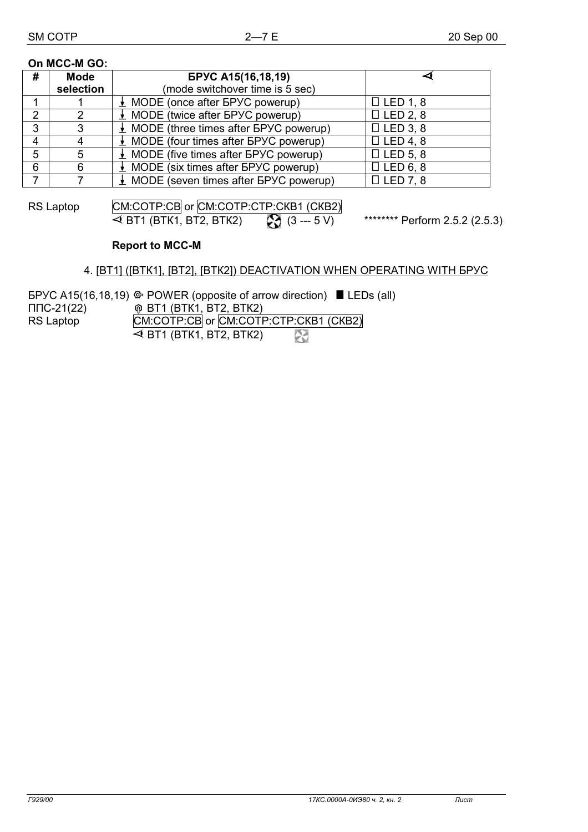#### **On MCC-M GO:**

| # | <b>Mode</b> | <b>БРУС А15(16,18,19)</b>                           |                 |
|---|-------------|-----------------------------------------------------|-----------------|
|   | selection   | (mode switchover time is 5 sec)                     |                 |
|   |             | $\perp$ MODE (once after $BPYC$ powerup)            | $\Box$ LED 1, 8 |
| C |             | $\perp$ MODE (twice after BPYC powerup)             | $\Box$ LED 2, 8 |
| 3 |             | $\perp$ MODE (three times after BPYC powerup)       | $\Box$ LED 3, 8 |
| 4 |             | $\perp$ MODE (four times after BPYC powerup)        | $\Box$ LED 4, 8 |
| 5 |             | $\perp$ MODE (five times after BPYC powerup)        | $\Box$ LED 5, 8 |
| 6 | 6           | $\perp$ MODE (six times after GPYC powerup)         | $\Box$ LED 6, 8 |
|   |             | $\frac{1}{2}$ MODE (seven times after GPYC powerup) | $\Box$ LED 7, 8 |

RS Laptop [CM:COTP:CB or CM:COTP:CTP:CKB1 (CKB2)

 $\blacktriangleleft$  BT1 (BTK1, BT2, BTK2)  $\;\longrightarrow$   $\clubsuit$  (3 --- 5 V) \*\*\*\*\*\*\*\* Perform 2.5.2 (2.5.3)

# **Report to MCC-M**

### 4. [ВТ1] ([ВТК1], [ВТ2], [ВТК2]) DEACTIVATION WHEN OPERATING WITH БРУС

|                | $E$ EPYC A15(16,18,19) $\Leftrightarrow$ POWER (opposite of arrow direction) $\blacksquare$ LEDs (all) |
|----------------|--------------------------------------------------------------------------------------------------------|
| $\Pi$ C-21(22) | $\hat{\varphi}$ BT1 (BTK1, BT2, BTK2)                                                                  |
| RS Laptop      | CM:COTP:CB or CM:COTP:CTP:CKB1 (CKB2)                                                                  |
|                | $\blacktriangleleft$ BT1 (BTK1, BT2, BTK2) $\longleftarrow$                                            |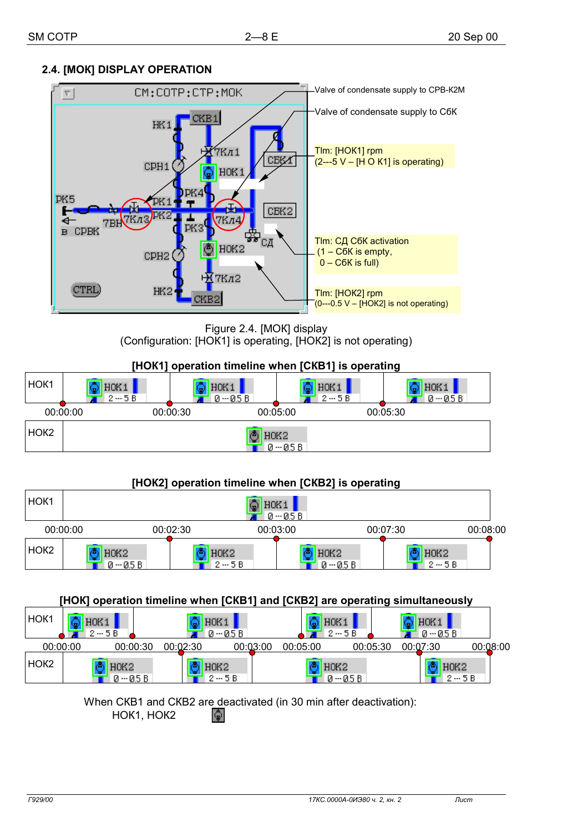# **2.4. [МОК] DISPLAY OPERATION**



Figure 2.4. [МОК] display (Configuration: [НОК1] is operating, [НОК2] is not operating)



## **[НОК2] operation timeline when [СКВ2] is operating**

| HOK <sub>1</sub> | HOK <sub>1</sub><br>$0 - 0.5 B$ |          |                            |                                              |          |                            |          |
|------------------|---------------------------------|----------|----------------------------|----------------------------------------------|----------|----------------------------|----------|
|                  | 00:00:00                        | 00:02:30 |                            | 00:03:00                                     | 00:07:30 |                            | 00:08:00 |
| HOK <sub>2</sub> | HOK2<br>$0 - 0.5 B$             |          | HOK <sub>2</sub><br>$2-5B$ | H <sub>O</sub> K <sub>2</sub><br>$0 - 0.5 B$ |          | H <sub>OK2</sub><br>$2-5B$ |          |

#### **[НОК] operation timeline when [СКВ1] and [СКВ2] are operating simultaneously**

| HOK <sub>1</sub> | $2-5B$                        |                      | HOK1<br><u> 0 - 05 В.</u>               |                      | <b>HUK</b><br>$2-5B$ | אחו                  | 0 -- 05 B      |
|------------------|-------------------------------|----------------------|-----------------------------------------|----------------------|----------------------|----------------------|----------------|
|                  | 00:00:00                      | 00:00:30<br>00:02:30 |                                         | 00:03:00<br>00:05:00 |                      | 00:05:30<br>00:07:30 | 00:08:00       |
| HOK <sub>2</sub> | H <sub>O</sub> K <sub>2</sub> | $0 - 0.5 B$          | H <sub>O</sub> K <sub>2</sub><br>$2-5B$ |                      | HOK2<br>$0 - 0.5 B$  |                      | HOK2<br>$2-5B$ |

# When СКВ1 and СКВ2 are deactivated (in 30 min after deactivation):

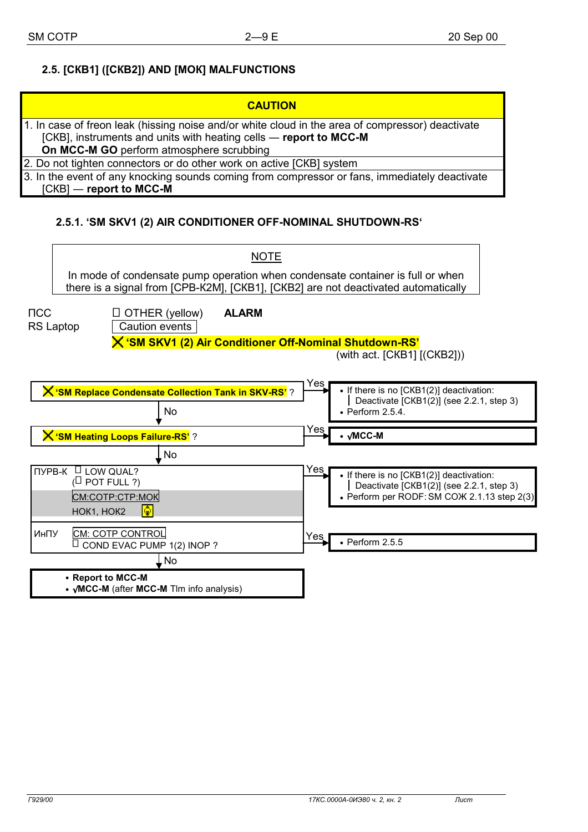# **2.5. [СКВ1] ([СКВ2]) AND [МОК] MALFUNCTIONS**

| <b>CAUTION</b>                                                                                                                                                                                                    |
|-------------------------------------------------------------------------------------------------------------------------------------------------------------------------------------------------------------------|
| 1. In case of freon leak (hissing noise and/or white cloud in the area of compressor) deactivate<br>[CKB], instruments and units with heating cells — report to MCC-M<br>On MCC-M GO perform atmosphere scrubbing |
| 2. Do not tighten connectors or do other work on active [CKB] system                                                                                                                                              |
| 3. In the event of any knocking sounds coming from compressor or fans, immediately deactivate<br>$[CKB]$ — report to MCC-M                                                                                        |

# **2.5.1. 'SM SKV1 (2) AIR CONDITIONER OFF-NOMINAL SHUTDOWN-RS'**

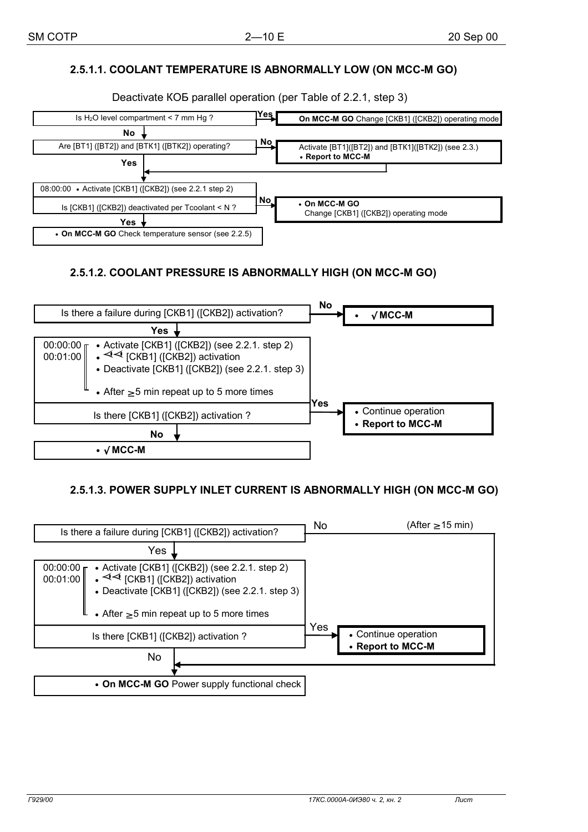# **2.5.1.1. COOLANT TEMPERATURE IS ABNORMALLY LOW (ON MCC-М GO)**

Deactivate КОБ parallel operation (per Table of 2.2.1, step 3)



## **2.5.1.2. COOLANT PRESSURE IS ABNORMALLY HIGH (ON MCC-М GO)**



## **2.5.1.3. POWER SUPPLY INLET CURRENT IS ABNORMALLY HIGH (ON MCC-М GO)**

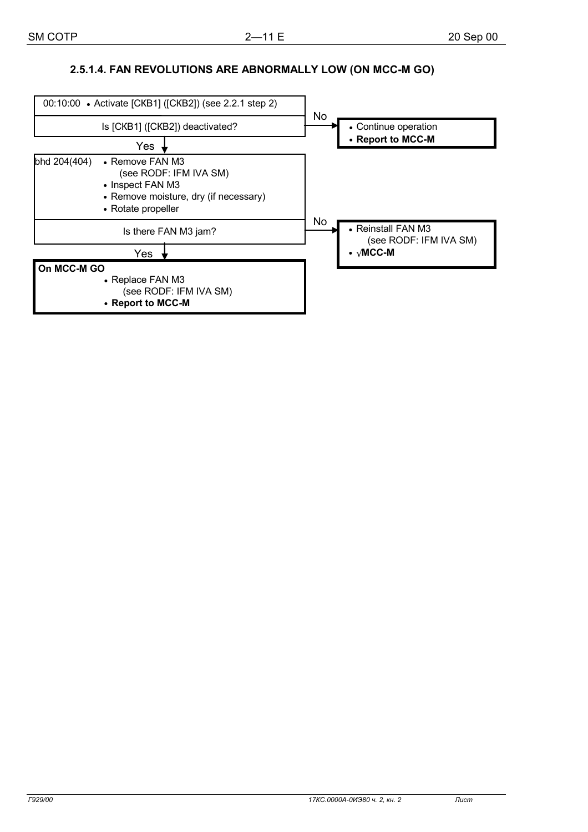# **2.5.1.4. FAN REVOLUTIONS ARE ABNORMALLY LOW (ON MCC-М GO)**

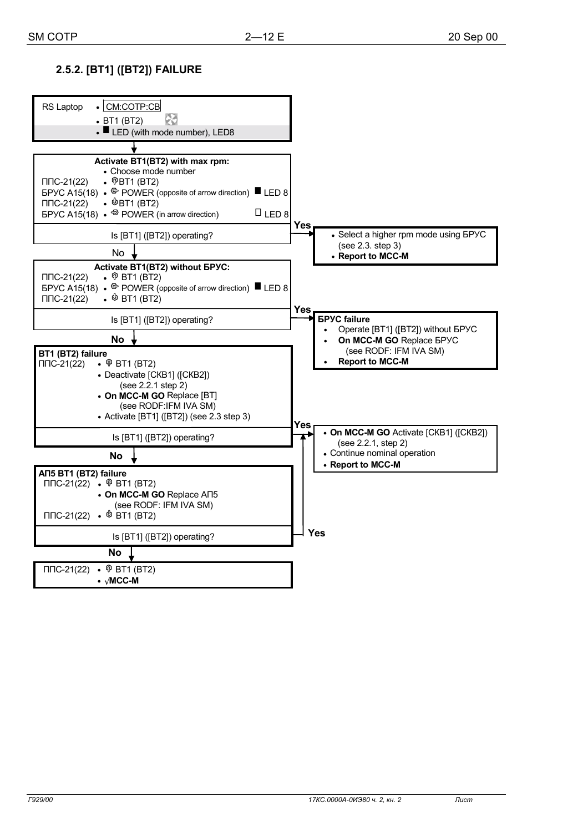# **2.5.2. [ВТ1] ([ВТ2]) FAILURE**

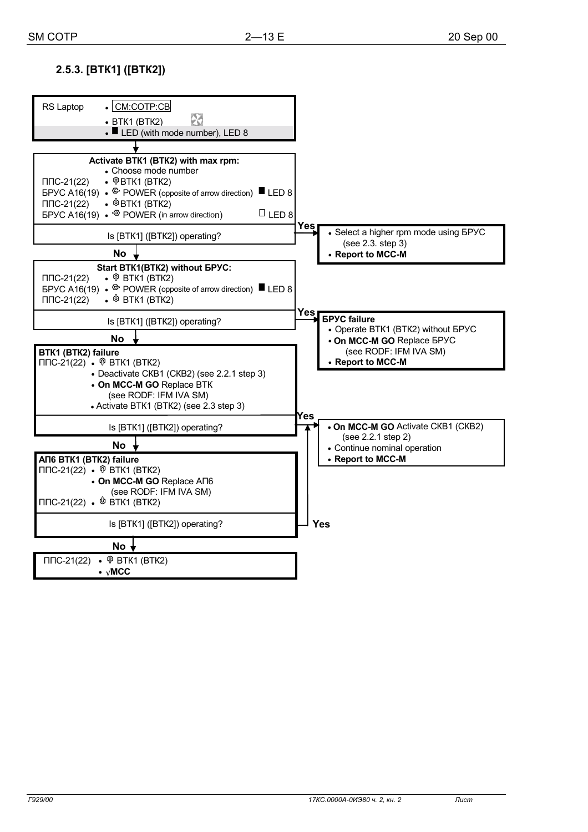# **2.5.3. [ВТК1] ([ВТК2])**

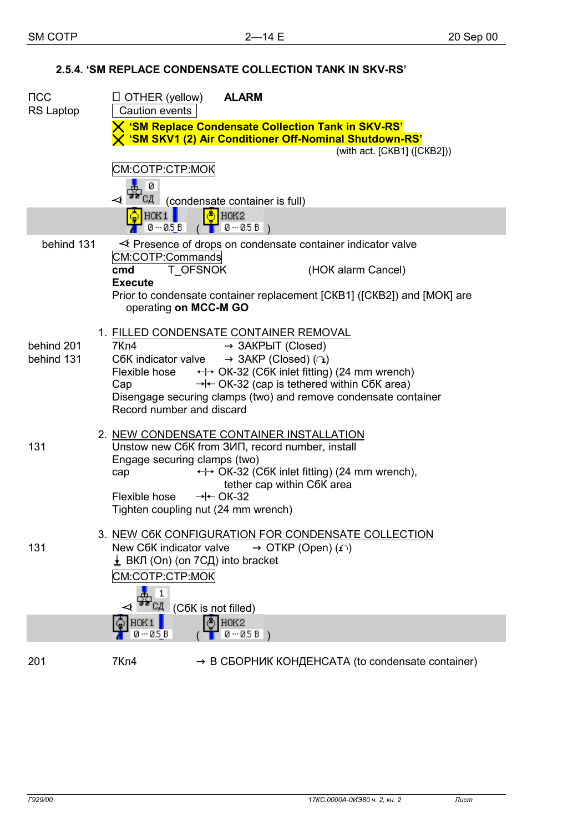# **2.5.4. 'SM REPLACE CONDENSATE COLLECTION TANK IN SKV-RS'**

| $\sf{TCC}$<br>RS Laptop |  | $\Box$ OTHER (yellow)<br><b>ALARM</b><br>Caution events                                                              |  |  |
|-------------------------|--|----------------------------------------------------------------------------------------------------------------------|--|--|
|                         |  | X 'SM Replace Condensate Collection Tank in SKV-RS'<br>X 'SM SKV1 (2) Air Conditioner Off-Nominal Shutdown-RS'       |  |  |
|                         |  | (with act. [CKB1] ([CKB2]))                                                                                          |  |  |
|                         |  | CM:COTP:CTP:MOK<br>ø                                                                                                 |  |  |
|                         |  | (condensate container is full)                                                                                       |  |  |
|                         |  | $\frac{16}{2}$ HOK2<br>HOK1<br>$0 - 0.5B$<br>$($ $0 - 0.5B)$                                                         |  |  |
| behind 131              |  | $\prec$ Presence of drops on condensate container indicator valve                                                    |  |  |
|                         |  | CM:COTP:Commands<br>T_OFSNOK<br>(HOK alarm Cancel)<br>cmd<br><b>Execute</b>                                          |  |  |
|                         |  | Prior to condensate container replacement [CKB1] ([CKB2]) and [MOK] are<br>operating on MCC-M GO                     |  |  |
|                         |  | 1. FILLED CONDENSATE CONTAINER REMOVAL                                                                               |  |  |
| behind 201              |  | 7Кл4<br>$\rightarrow$ 3AKPLIT (Closed)                                                                               |  |  |
| behind 131              |  | $\rightarrow$ 3AKP (Closed) ( $\cap$ )<br>C6K indicator valve                                                        |  |  |
|                         |  | Flexible hose  ← OK-32 (C6K inlet fitting) (24 mm wrench)<br>$\rightarrow$ + OK-32 (cap is tethered within C6K area) |  |  |
|                         |  | Cap<br>Disengage securing clamps (two) and remove condensate container                                               |  |  |
|                         |  | Record number and discard                                                                                            |  |  |
|                         |  |                                                                                                                      |  |  |
| 131                     |  | 2. NEW CONDENSATE CONTAINER INSTALLATION<br>Unstow new C6K from 3ИП, record number, install                          |  |  |
|                         |  | Engage securing clamps (two)                                                                                         |  |  |
|                         |  | ← OK-32 (C6K inlet fitting) (24 mm wrench),<br>cap                                                                   |  |  |
|                         |  | tether cap within C6K area                                                                                           |  |  |
|                         |  | Flexible hose $\rightarrow \leftarrow$ OK-32<br>Tighten coupling nut (24 mm wrench)                                  |  |  |
|                         |  |                                                                                                                      |  |  |
|                         |  | 3. NEW C6K CONFIGURATION FOR CONDENSATE COLLECTION                                                                   |  |  |
| 131                     |  | New C6K indicator valve<br>$\rightarrow$ OTKP (Open) ( $\cap$ )                                                      |  |  |
|                         |  | $\perp$ ВКЛ (On) (on 7СД) into bracket                                                                               |  |  |
|                         |  | CM:COTP:CTP:MOK                                                                                                      |  |  |
|                         |  | 1                                                                                                                    |  |  |
|                         |  | $CA$ (C6K is not filled)<br>( <sup>4</sup> ) HOK2                                                                    |  |  |
|                         |  | HOK1<br>0 -- 0.5 B<br>$0 - 0.5 B$ )                                                                                  |  |  |
| 201                     |  | 7Кл4<br>$\rightarrow$ B C5OPHИК КОНДЕНСАТА (to condensate container)                                                 |  |  |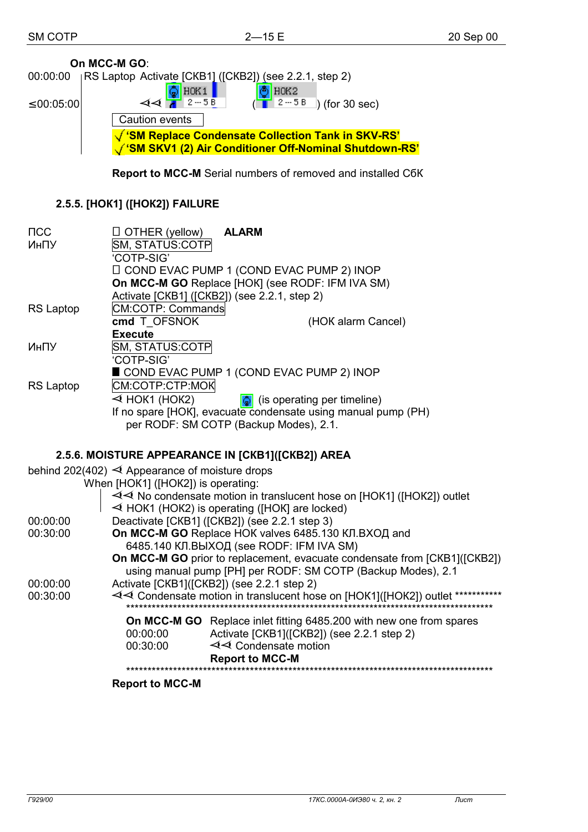|                      | On MCC-M GO:                                                                                                                            |  |  |  |  |
|----------------------|-----------------------------------------------------------------------------------------------------------------------------------------|--|--|--|--|
| 00:00:00             | RS Laptop Activate [CKB1] ([CKB2]) (see 2.2.1, step 2)                                                                                  |  |  |  |  |
| $\leq 00:05:00$      | $\bigcirc$ HOK1  <br>$\circ$ HOK2<br>$44$ $1^{2-58}$<br>$\left( \frac{1}{2} \right)$ (for 30 sec)                                       |  |  |  |  |
|                      | Caution events                                                                                                                          |  |  |  |  |
|                      | √ 'SM Replace Condensate Collection Tank in SKV-RS'                                                                                     |  |  |  |  |
|                      | SM SKV1 (2) Air Conditioner Off-Nominal Shutdown-RS'                                                                                    |  |  |  |  |
|                      | <b>Report to MCC-M</b> Serial numbers of removed and installed C6K                                                                      |  |  |  |  |
|                      | 2.5.5. [HOK1] ([HOK2]) FAILURE                                                                                                          |  |  |  |  |
| $\mathsf{NCC}$       | $\Box$ OTHER (yellow)<br><b>ALARM</b>                                                                                                   |  |  |  |  |
| ИнПУ                 | SM, STATUS:COTP                                                                                                                         |  |  |  |  |
|                      | 'COTP-SIG'<br>□ COND EVAC PUMP 1 (COND EVAC PUMP 2) INOP                                                                                |  |  |  |  |
|                      | On MCC-M GO Replace [HOK] (see RODF: IFM IVA SM)                                                                                        |  |  |  |  |
| <b>RS Laptop</b>     | Activate [CKB1] ([CKB2]) (see 2.2.1, step 2)<br>CM:COTP: Commands                                                                       |  |  |  |  |
|                      | cmd T OFSNOK<br>(HOK alarm Cancel)                                                                                                      |  |  |  |  |
|                      | <b>Execute</b>                                                                                                                          |  |  |  |  |
| ИнПУ                 | SM, STATUS:COTP<br>'COTP-SIG'                                                                                                           |  |  |  |  |
|                      | COND EVAC PUMP 1 (COND EVAC PUMP 2) INOP                                                                                                |  |  |  |  |
| <b>RS Laptop</b>     | CM:COTP:CTP:MOK<br>$\triangleleft$ HOK1 (HOK2)<br>$\frac{1}{2}$ (is operating per timeline)                                             |  |  |  |  |
|                      | If no spare [HOK], evacuate condensate using manual pump (PH)                                                                           |  |  |  |  |
|                      | per RODF: SM COTP (Backup Modes), 2.1.                                                                                                  |  |  |  |  |
|                      | 2.5.6. MOISTURE APPEARANCE IN [CKB1]([CKB2]) AREA                                                                                       |  |  |  |  |
|                      | behind 202(402) $\triangleleft$ Appearance of moisture drops                                                                            |  |  |  |  |
|                      | When [HOK1] ([HOK2]) is operating:                                                                                                      |  |  |  |  |
|                      | $\sim$ $\prec$ No condensate motion in translucent hose on [HOK1] ([HOK2]) outlet<br>$\leq$ HOK1 (HOK2) is operating ([HOK] are locked) |  |  |  |  |
| 00:00:00             | Deactivate [CKB1] ([CKB2]) (see 2.2.1 step 3)                                                                                           |  |  |  |  |
| 00:30:00             | <b>On MCC-M GO</b> Replace HOK valves 6485.130 КЛ.ВХОД and                                                                              |  |  |  |  |
|                      | 6485.140 КЛ.ВЫХОД (see RODF: IFM IVA SM)<br>On MCC-M GO prior to replacement, evacuate condensate from [CKB1]([CKB2])                   |  |  |  |  |
|                      | using manual pump [PH] per RODF: SM COTP (Backup Modes), 2.1                                                                            |  |  |  |  |
| 00:00:00<br>00:30:00 | Activate [CKB1]([CKB2]) (see 2.2.1 step 2)<br>√ Condensate motion in translucent hose on [HOK1]([HOK2]) outlet ************             |  |  |  |  |
|                      |                                                                                                                                         |  |  |  |  |
|                      | <b>On MCC-M GO</b> Replace inlet fitting 6485.200 with new one from spares<br>00:00:00<br>Activate [CKB1]([CKB2]) (see 2.2.1 step 2)    |  |  |  |  |

|          | <b>DARAHAA MOO M</b>                       |
|----------|--------------------------------------------|
| 00:30:00 | $\triangleleft$ Condensate motion          |
| 00:00:00 | Activate [CKB1]([CKB2]) (see 2.2.1 step 2) |
|          |                                            |

 **Report to MCC-M**  \*\*\*\*\*\*\*\*\*\*\*\*\*\*\*\*\*\*\*\*\*\*\*\*\*\*\*\*\*\*\*\*\*\*\*\*\*\*\*\*\*\*\*\*\*\*\*\*\*\*\*\*\*\*\*\*\*\*\*\*\*\*\*\*\*\*\*\*\*\*\*\*\*\*\*\*\*\*\*\*\*\*\*\*\*\*

**Report to MCC-M**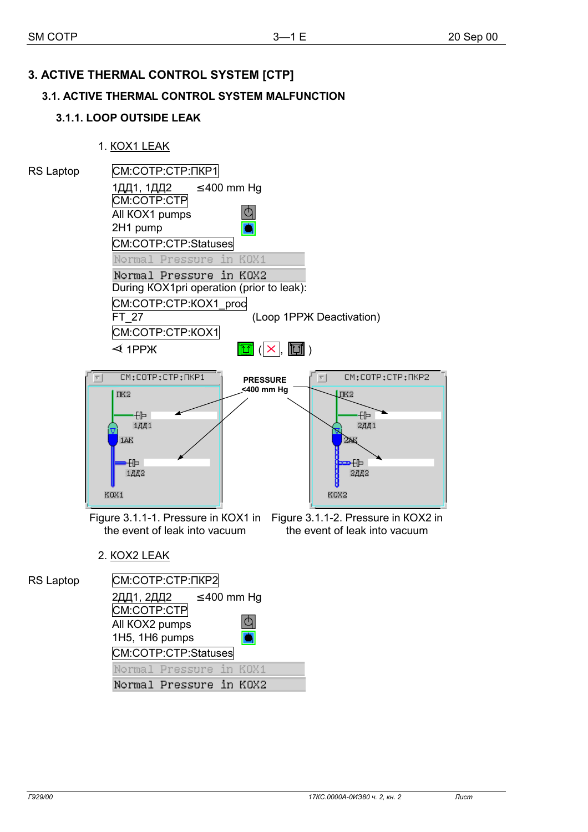# **3. ACTIVE THERMAL CONTROL SYSTEM [СТР]**

# **3.1. ACTIVE THERMAL CONTROL SYSTEM MALFUNCTION**

# **3.1.1. LOOP OUTSIDE LEAK**

1. КОХ1 LEAK

 All КОХ2 pumps 1Н5, 1Н6 pumps

СМ:СОТР:СТР:Statuses

Normal Pressure in KOX1 Normal Pressure in KOX2

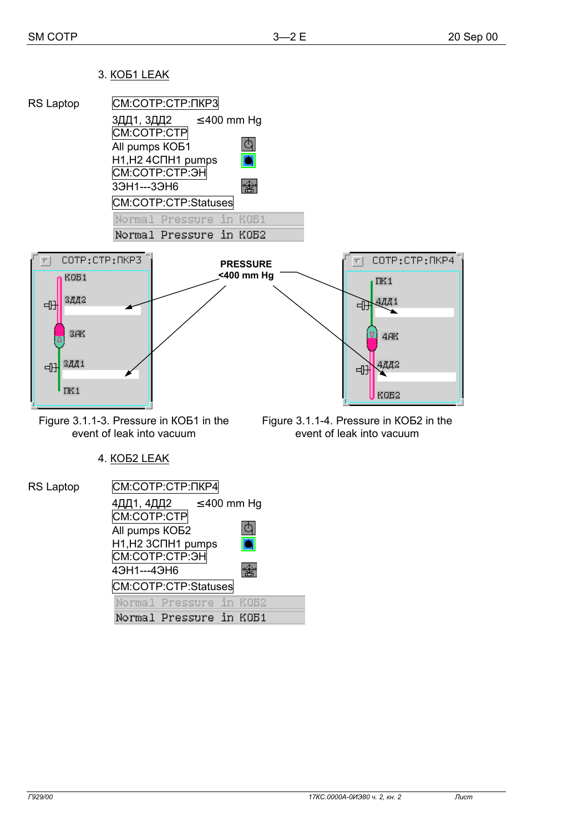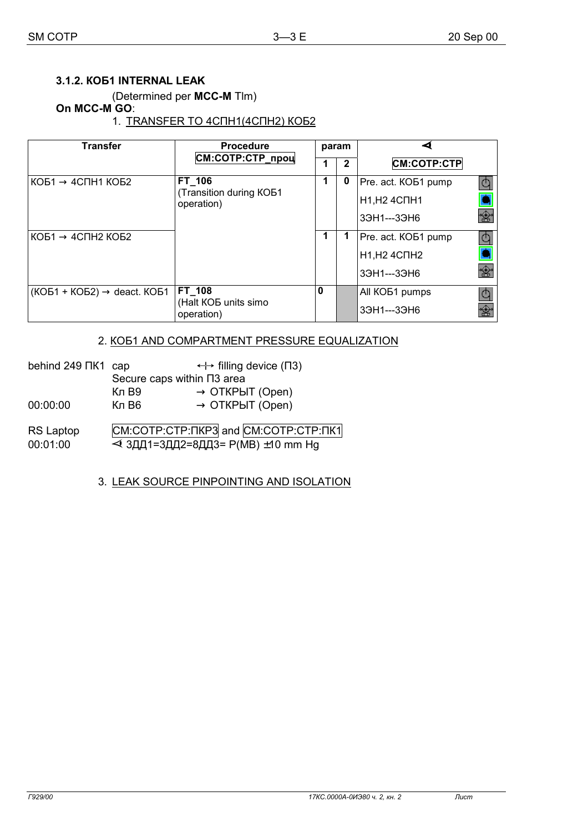### 3.1.2. KOB1 INTERNAL LEAK

(Determined per MCC-M Tlm)

### On MCC-M GO:

### 1. TRANSFER TO 4CNH1(4CNH2) KOB2

| <b>Transfer</b>                         | <b>Procedure</b>                            |              | param |                            |    |
|-----------------------------------------|---------------------------------------------|--------------|-------|----------------------------|----|
|                                         | СМ:СОТР:СТР_проц                            | $\mathbf{2}$ |       | <b>CM:COTP:CTP</b>         |    |
| $KOB1 \rightarrow 4C\Pi H1 KOB2$        | FT 106                                      | 1            | 0     | Pre. act. KOB1 pump-       |    |
|                                         | <b>Transition during KOB1</b><br>operation) |              |       | <b>H1, H2 4CNH1</b>        |    |
|                                         |                                             |              |       | 39H1---39H6                | 盦  |
| $KOB1 \rightarrow 4CTH2 KOB2$           |                                             | 1            |       | Pre. act. KOB1 pump-       | lÓ |
|                                         |                                             |              |       | <b>H1, H2 4CNH2</b>        |    |
|                                         |                                             |              |       | 39H1---39H6                | 金  |
| $(KOB1 + KOB2) \rightarrow$ deact. KOB1 | FT 108                                      | 0            |       | All KO <sub>b1</sub> pumps |    |
|                                         | (Halt KOB units simo<br>operation)          |              |       | 39H1---39H6                |    |

### 2. KOE1 AND COMPARTMENT PRESSURE EQUALIZATION

| behind 249 NK1 cap           |                                 | $\leftrightarrow$ filling device ( $\Box$ 3)                                                |
|------------------------------|---------------------------------|---------------------------------------------------------------------------------------------|
|                              | Secure caps within $\Pi$ 3 area |                                                                                             |
|                              | Кл В9                           | $\rightarrow$ OTKPLIT (Open)                                                                |
| 00:00:00                     | Кл В6                           | $\rightarrow$ OTKPLIT (Open)                                                                |
| <b>RS Laptop</b><br>00:01:00 |                                 | CM:COTP:CTP: $T$ KP3 and CM:COTP:CTP: $T$ K1<br><b>&lt; 3ДД1=3ДД2=8ДД3= P(MB) ±10 mm Hg</b> |

## 3. LEAK SOURCE PINPOINTING AND ISOLATION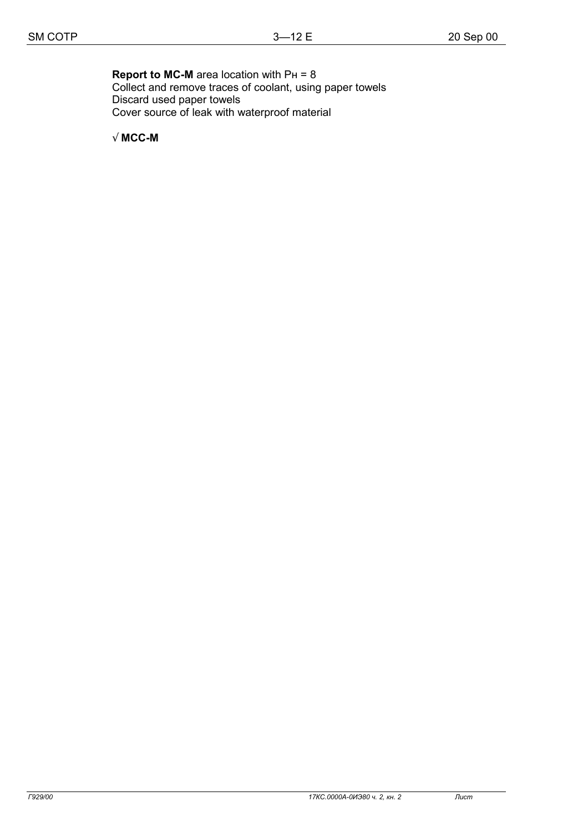### **Report to MC-M** area location with PH = 8 Collect and remove traces of coolant, using paper towels Discard used paper towels

Cover source of leak with waterproof material

√ **MCC-M**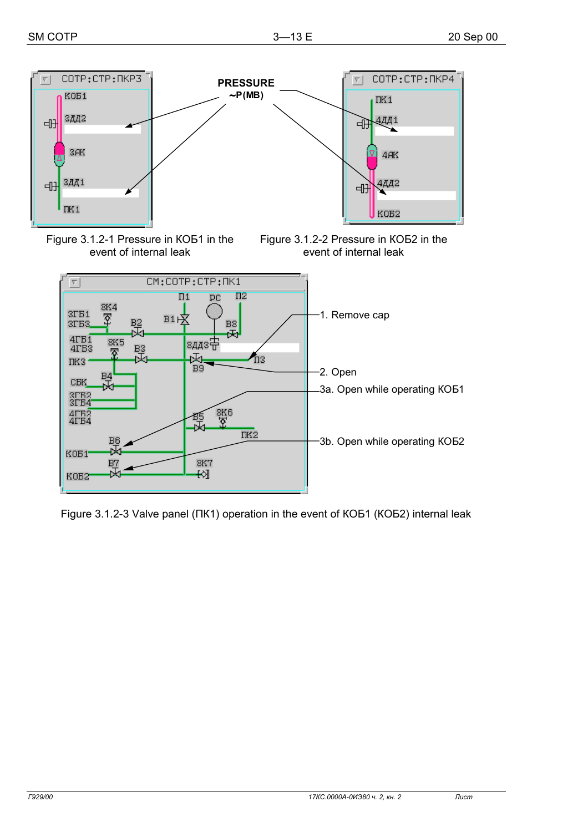

Figure 3.1.2-1 Pressure in KOB1 in the event of internal leak





Figure 3.1.2-3 Valve panel ( $\Pi$ K1) operation in the event of KOB1 (KOB2) internal leak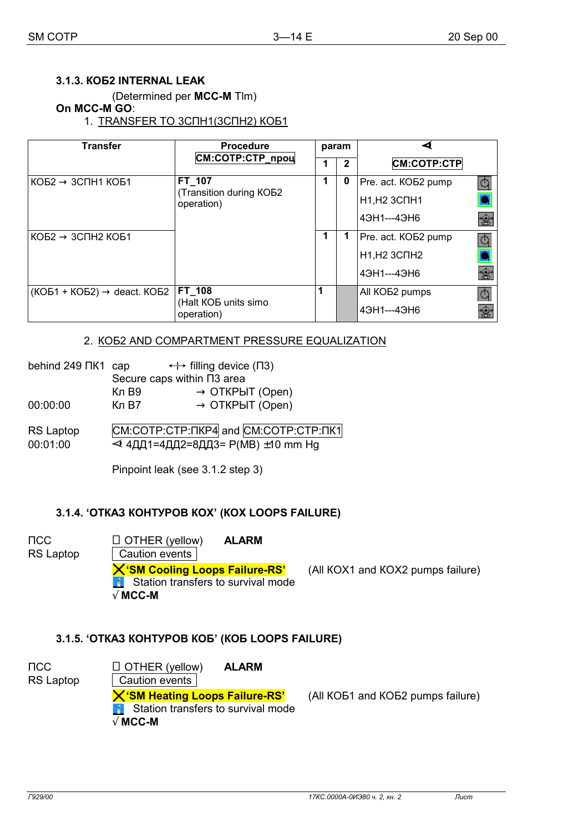#### 3.1.3. KOB2 INTERNAL LEAK

(Determined per MCC-M Tlm)

#### On MCC-M GO:

1. TRANSFER TO 3CNH1(3CNH2) KO61

| <b>Transfer</b>                         | <b>Procedure</b>                  |   | param        |                            |          |
|-----------------------------------------|-----------------------------------|---|--------------|----------------------------|----------|
|                                         | СМ:СОТР:СТР_проц                  |   | $\mathbf{2}$ | <b>CM:COTP:CTP</b>         |          |
| $KOB2 \rightarrow 3C\Pi H1 KOB1$        | FT 107<br>(Transition during KOB2 | 1 | 0            | Pre. act. KOB2 pump-       | lÓ       |
|                                         | operation)                        |   |              | <b>H1, H2 3CNH1</b>        |          |
|                                         |                                   |   |              | 43H1---43H6                | 圈        |
| $KOB2 \rightarrow 3C\Pi H2 KOB1$        |                                   |   | 1            | Pre. act. KOB2 pump-       | <b>d</b> |
|                                         |                                   |   |              | <b>H1, H2 3CNH2</b>        |          |
|                                         |                                   |   |              | 43H1---43H6                | 盦        |
| $(KOB1 + KOB2) \rightarrow$ deact. KOB2 | FT_108<br>(Halt KOB units simo    |   |              | All KO <sub>B2</sub> pumps |          |
|                                         | operation)                        |   |              | 43H1---43H6                |          |

#### 2. KO52 AND COMPARTMENT PRESSURE EQUALIZATION

| behind 249 NK1 cap | $\leftrightarrow$ filling device ( $\Box$ 3) |                                 |  |
|--------------------|----------------------------------------------|---------------------------------|--|
|                    |                                              | Secure caps within $\Pi$ 3 area |  |
|                    | Кл В9                                        | $\rightarrow$ OTKPLIT (Open)    |  |
| 00:00:00           | Кл B7                                        | $\rightarrow$ OTKPbIT (Open)    |  |
|                    |                                              |                                 |  |

RS Laptop CM:COTP:CTP:  $T$ KP4 and CM:COTP:CTP:  $T$ K1 00:01:00 < 4ДД1=4ДД2=8ДД3= P(MB) ±10 mm Hg

Pinpoint leak (see 3.1.2 step 3)

#### 3.1.4. 'OTKA3 KOHTYPOB KOX' (KOX LOOPS FAILURE)

 $\sqcap$ CC  $\Box$  OTHER (yellow) **ALARM** RS Laptop Caution events **X'SM Cooling Loops Failure-RS'** (All KOX1 and KOX2 pumps failure)  $\left| \frac{1}{2} \right|$  Station transfers to survival mode  $\sqrt{MCC-M}$ 

#### 3.1.5. 'OTKA3 KOHTYPOB KOB' (KOB LOOPS FAILURE)

| псс<br>RS Laptop | $\Box$ OTHER (yellow)<br><b>ALARM</b><br>Caution events                                                    |                                   |
|------------------|------------------------------------------------------------------------------------------------------------|-----------------------------------|
|                  | X'SM Heating Loops Failure-RS'<br>$\lceil 4 \rceil$ Station transfers to survival mode<br>$\sqrt{M}$ MCC-M | (All KOB1 and KOB2 pumps failure) |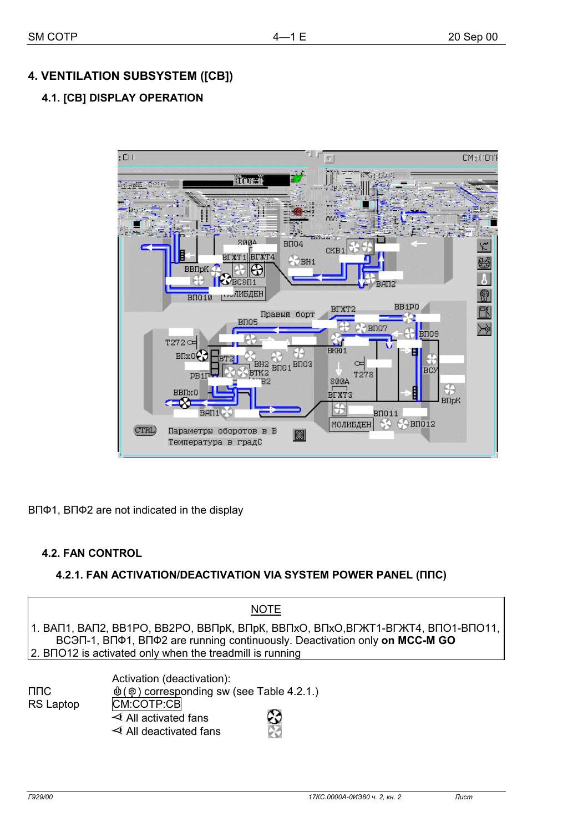# **4. VENTILATION SUBSYSTEM ([СВ])**

# **4.1. [СВ] DISPLAY OPERATION**



ВПФ1, ВПФ2 are not indicated in the display

## **4.2. FAN CONTROL**

## **4.2.1. FAN ACTIVATION/DEACTIVATION VIA SYSTEM POWER PANEL (ППС)**

|                          | <b>NOTE</b>                                                                                                                                                                                                                               |
|--------------------------|-------------------------------------------------------------------------------------------------------------------------------------------------------------------------------------------------------------------------------------------|
|                          | │1. ВАП1, ВАП2, ВВ1РО, ВВ2РО, ВВПрК, ВПрК, ВВПхО, ВПхО,ВГЖТ1-ВГЖТ4, ВПО1-ВПО11, │<br>BCON-1, BN $\Phi$ 1, BN $\Phi$ 2 are running continuously. Deactivation only on MCC-M GO<br>2. BNO12 is activated only when the treadmill is running |
| $\Pi \Pi C$<br>RS Laptop | Activation (deactivation):<br>$\phi(\phi)$ corresponding sw (see Table 4.2.1.)<br>CM:COTP:CB                                                                                                                                              |

 $\triangleleft$  All activated fans  $\qquad -\mathcal{C}$  $\triangleleft$  All deactivated fans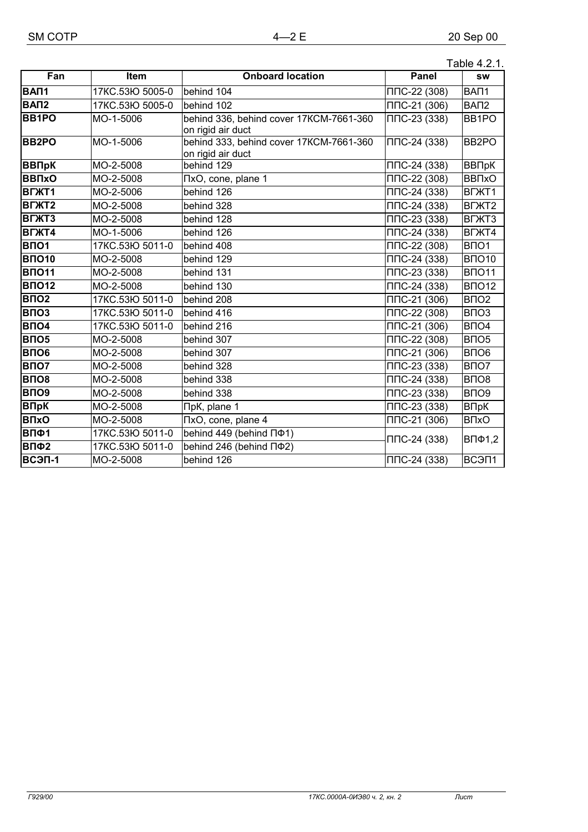|                                |                  |                                                              |                   | Table 4.2.1.                   |
|--------------------------------|------------------|--------------------------------------------------------------|-------------------|--------------------------------|
| Fan                            | Item             | <b>Onboard location</b>                                      | <b>Panel</b>      | <b>SW</b>                      |
| BAN <sub>1</sub>               | 17KC.53IO 5005-0 | behind 104                                                   | ППС-22 (308)      | BAN1                           |
| BAN <sub>2</sub>               | 17KC.53IO 5005-0 | behind 102                                                   | $\Pi$ DC-21 (306) | BA <sub>U</sub> 2              |
| <b>BB1PO</b>                   | MO-1-5006        | behind 336, behind cover 17KCM-7661-360<br>on rigid air duct | ППС-23 (338)      | BB1PO                          |
| <b>BB2PO</b>                   | MO-1-5006        | behind 333, behind cover 17KCM-7661-360<br>on rigid air duct | ППС-24 (338)      | BB <sub>2</sub> PO             |
| <b>ВВПрК</b>                   | MO-2-5008        | behind 129                                                   | ППС-24 (338)      | ВВПрК                          |
| <b>BBNxO</b>                   | MO-2-5008        | TxO, cone, plane 1                                           | ППС-22 (308)      | <b>BB<sub>TxO</sub></b>        |
| <b>BLXL1</b>                   | MO-2-5006        | behind 126                                                   | $\Pi$ DC-24 (338) | B <sub>T</sub> XT <sub>1</sub> |
| B <sub>F</sub> XT <sub>2</sub> | MO-2-5008        | behind 328                                                   | ППС-24 (338)      | B <sub>T</sub> XT <sub>2</sub> |
| <b>BLXT3</b>                   | MO-2-5008        | behind 128                                                   | ППС-23 (338)      | B <sub>T</sub> XT <sub>3</sub> |
| <b>BLXT4</b>                   | MO-1-5006        | behind 126                                                   | $\Pi$ DC-24 (338) | B <sub>T</sub> XT4             |
| <b>BNO1</b>                    | 17KC.53IO 5011-0 | behind 408                                                   | ППС-22 (308)      | B <sub>NO</sub> 1              |
| <b>B</b> 1010                  | MO-2-5008        | behind 129                                                   | $\Pi$ DC-24 (338) | <b>BNO10</b>                   |
| <b>BNO11</b>                   | MO-2-5008        | behind 131                                                   | $\Pi$ DC-23 (338) | <b>BNO11</b>                   |
| <b>ВПО12</b>                   | MO-2-5008        | behind 130                                                   | $\Pi$ DC-24 (338) | <b>BNO12</b>                   |
| <b>BNO2</b>                    | 17KC.53IO 5011-0 | behind 208                                                   | $\Pi$ DC-21 (306) | B <sub>IO2</sub>               |
| ВПОЗ                           | 17KC.53IO 5011-0 | behind 416                                                   | ППС-22 (308)      | B <sub>IO3</sub>               |
| <b>ВПО4</b>                    | 17KC.53IO 5011-0 | behind 216                                                   | ППС-21 (306)      | B <sub>IO4</sub>               |
| <b>ВПО5</b>                    | MO-2-5008        | behind 307                                                   | ППС-22 (308)      | B <sub>IO5</sub>               |
| <b>ВПО6</b>                    | MO-2-5008        | behind 307                                                   | ППС-21 (306)      | B <sub>IO6</sub>               |
| B <sub>NO</sub>                | MO-2-5008        | behind 328                                                   | ППС-23 (338)      | B <sub>IO7</sub>               |
| <b>ВПО8</b>                    | MO-2-5008        | behind 338                                                   | ППС-24 (338)      | B <sub>IO8</sub>               |
| <b>ВПО9</b>                    | MO-2-5008        | behind 338                                                   | ППС-23 (338)      | B <sub>IO</sub> 9              |
| <b>ВПрК</b>                    | MO-2-5008        | ПрК, plane 1                                                 | $\Pi$ DC-23 (338) | ВПрК                           |
| <b>B</b> <sub>I</sub> xO       | MO-2-5008        | TixO, cone, plane 4                                          | $\Pi$ DC-21 (306) | <b>B</b> <sub>N</sub> O        |
| ВПФ1                           | 17KC.53IO 5011-0 | behind 449 (behind $\Pi\Phi$ 1)                              | $\Pi$ C-24 (338)  | ВПФ1,2                         |
| ВПФ2                           | 17KC.53IO 5011-0 | behind 246 (behind $\Pi$ <sup>02</sup> )                     |                   |                                |
| ВСЭП-1                         | MO-2-5008        | behind 126                                                   | ППС-24 (338)      | BC <sub>3</sub> N <sub>1</sub> |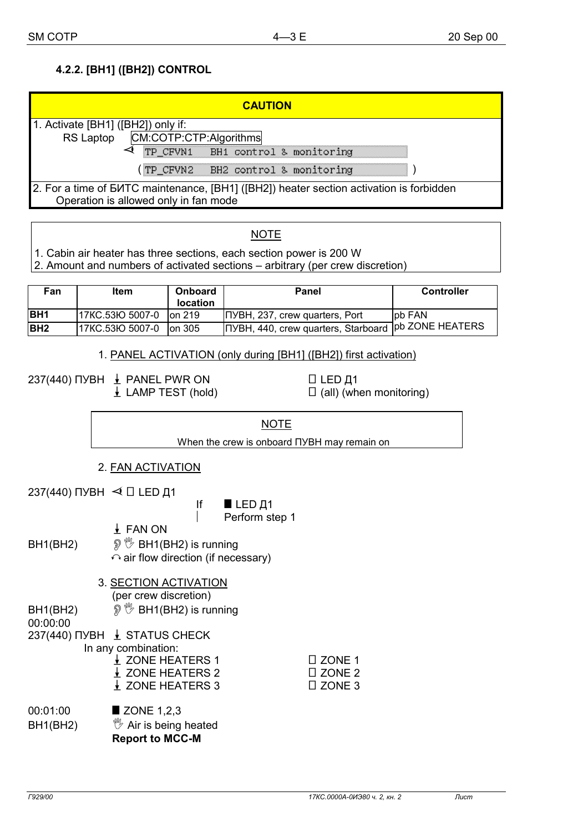# **4.2.2. [ВН1] ([ВН2]) CONTROL**

| <b>CAUTION</b>                                                                                                                   |  |
|----------------------------------------------------------------------------------------------------------------------------------|--|
| 1. Activate [BH1] ([BH2]) only if:                                                                                               |  |
| RS Laptop CM:COTP:CTP:Algorithms                                                                                                 |  |
| TP_CFVN1 BH1 control & monitoring                                                                                                |  |
| (TP_CFVN2 BH2 control & monitoring                                                                                               |  |
| 2. For a time of BUTC maintenance, [BH1] ([BH2]) heater section activation is forbidden<br>Operation is allowed only in fan mode |  |

### **NOTE**

1. Cabin air heater has three sections, each section power is 200 W

2. Amount and numbers of activated sections – arbitrary (per crew discretion)

| Fan         | <b>Item</b>     | <b>Onboard</b><br><b>location</b> | Panel                                  | <b>Controller</b>       |
|-------------|-----------------|-----------------------------------|----------------------------------------|-------------------------|
| <b>BH1</b>  | 17KC.53Ю 5007-0 | lon 219                           | <b>INYBH, 237, crew quarters, Port</b> | lpb FAN                 |
| <b>IBH2</b> | 17KC.53Ю 5007-0 | lon 305                           | ПУВН, 440, crew quarters, Starboard    | <b>Tpb ZONE HEATERS</b> |

#### 1. PANEL ACTIVATION (only during [ВН1] ([ВН2]) first activation)

237(440) ПУВН  $\frac{1}{2}$  PANEL PWR ON  $\Box$  LED Д1

 $\downarrow$  LAMP TEST (hold)  $\Box$  (all) (when monitoring)

When the crew is onboard ПУВН may remain on

- 2. FAN ACTIVATION
- 237(440) ПУВН  $\blacktriangleleft$   $\Box$  LED Д1

If  $\blacksquare$  LED  $\Box$ 1 | Perform step 1

 0 FAN ON BH1(BH2)  $\mathbb{P} \mathbb{V}$  BH1(BH2) is running  $\curvearrowright$  air flow direction (if necessary)

3. SECTION ACTIVATION

(per crew discretion)

BH1(BH2)  $\mathbb{P} \mathbb{V}$  BH1(BH2) is running

00:00:00

237(440) ПУВН  $\perp$  STATUS CHECK In any combination:

| III driv compliation. |                   |  |
|-----------------------|-------------------|--|
|                       | <b>ZONE HEATE</b> |  |

| $\angle$ ZONE HEATERS 1     | $\Box$ ZONE 1 |
|-----------------------------|---------------|
| $\downarrow$ ZONE HEATERS 2 | $\Box$ ZONE 2 |
| ↓ ZONE HEATERS 3            | $\Box$ ZONE 3 |
|                             |               |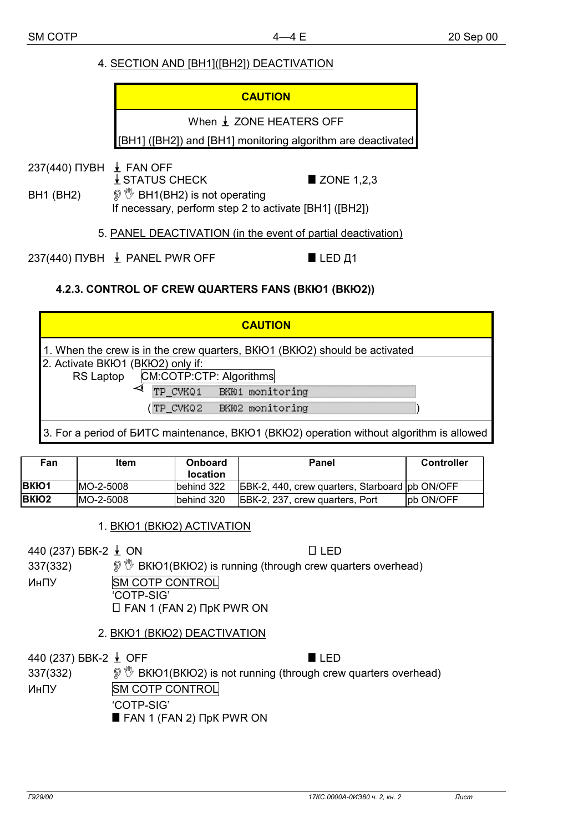## 4. SECTION AND [BH1]([BH2]) DEACTIVATION

# **CAUTION** When ↓ ZONE HEATERS OFF [BH1] ([BH2]) and [BH1] monitoring algorithm are deactivated 237(440) NYBH  $\pm$  FAN OFF  $\downarrow$  STATUS CHECK **ZONE 1.2.3**  $\mathcal{D} \overset{\text{def}}{=}$  BH1(BH2) is not operating **BH1 (BH2)** If necessary, perform step 2 to activate [BH1] ([BH2])

5. PANEL DEACTIVATION (in the event of partial deactivation)

237(440) NYBH  $\pm$  PANEL PWR OFF  $LED<sub>41</sub>$ 

## 4.2.3. CONTROL OF CREW QUARTERS FANS (BKIO1 (BKIO2))

#### **CAUTION** 1. When the crew is in the crew quarters, BKIO1 (BKIO2) should be activated 2. Activate BKIO1 (BKIO2) only if: CM:COTP:CTP: Algorithms **RS Laptop** ⊲ TP CVKQ1 BK01 monitoring (TP CVKQ2 BK02 monitoring 3. For a period of EVITC maintenance, BKIO1 (BKIO2) operation without algorithm is allowed

| Fan               | <b>Item</b> | <b>Onboard</b><br><b>location</b> | <b>Panel</b>                                           | <b>Controller</b> |
|-------------------|-------------|-----------------------------------|--------------------------------------------------------|-------------------|
| <b>BKIO1</b>      | MO-2-5008   | Ibehind 322                       | <b>IBBK-2, 440, crew quarters, Starboard pb ON/OFF</b> |                   |
| BKIO <sub>2</sub> | IMO-2-5008  | Ibehind 320                       | <b>IGBK-2, 237, crew quarters, Port</b>                | lpb ON/OFF        |

1. BKIO1 (BKIO2) ACTIVATION

440 (237) БВК-2 ↓ ON

 $\Box$  LED

 $IIFD$ 

*I*  $\mathcal{D}$  BKIO1(BKIO2) is running (through crew quarters overhead) 337(332)

**SM COTP CONTROL** ИнПУ 'COTP-SIG'  $\Box$  FAN 1 (FAN 2)  $\Box$ pK PWR ON

2. BKIO1 (BKIO2) DEACTIVATION

440 (237) БВК-2 ↓ ОFF

337(332)  $\mathcal{D} \mathcal{D}$  BKIO1(BKIO2) is not running (through crew quarters overhead) ИнПУ **SM COTP CONTROL** 

'COTP-SIG'

FAN 1 (FAN 2) NpK PWR ON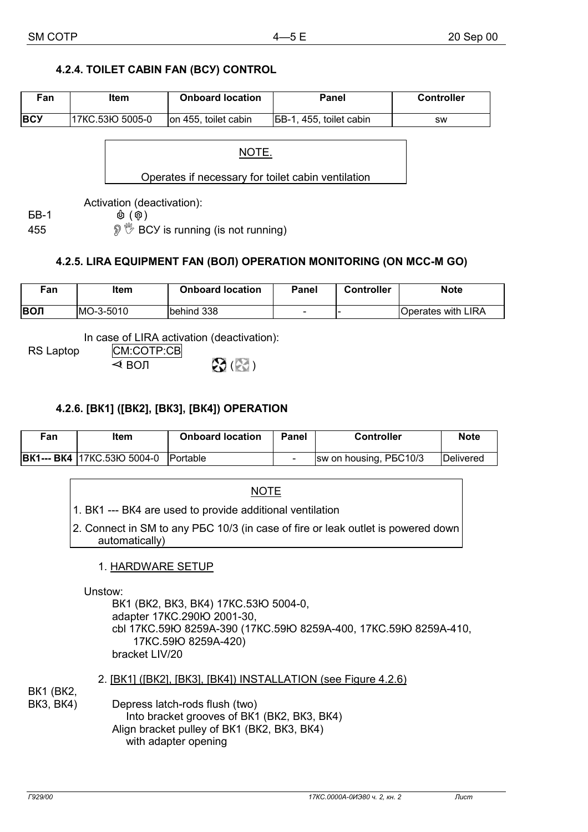# 4.2.4. TOILET CABIN FAN (BCY) CONTROL

| Fan        | Item             | <b>Onboard location</b> | Panel                    | <b>Controller</b> |
|------------|------------------|-------------------------|--------------------------|-------------------|
| <b>BCY</b> | 17KC.53HO 5005-0 | on 455, toilet cabin    | IBB-1, 455, toilet cabin | sw                |

NOTE.

Operates if necessary for toilet cabin ventilation

Activation (deactivation):

**БВ-1** 

455

 $\Phi$  $(\phi)$ 

**<sup>®</sup> <sup>®</sup> BCY** is running (is not running)

# 4.2.5. LIRA EQUIPMENT FAN (BOJI) OPERATION MONITORING (ON MCC-M GO)

| Fan  | ltem       | <b>Onboard location</b> | Panel                    | <b>Controller</b> | <b>Note</b>        |
|------|------------|-------------------------|--------------------------|-------------------|--------------------|
| ∣вол | IMO-3-5010 | behind 338              | $\overline{\phantom{a}}$ |                   | Operates with LIRA |

In case of LIRA activation (deactivation):

**RS Laptop** 

CM:COTP:CB  $\mathfrak{D}(\mathbb{R})$  $\triangleleft$  ВОЛ

# 4.2.6. [BK1] ([BK2], [BK3], [BK4]) OPERATION

| Fan | ltem                               | <b>Onboard location</b> | Panel | <b>Controller</b>      | <b>Note</b>       |
|-----|------------------------------------|-------------------------|-------|------------------------|-------------------|
|     | <b>BK1--- BK4 17KC.53IO 5004-0</b> | <b>Portable</b>         |       | sw on housing, PBC10/3 | <b>IDelivered</b> |

|         | NOTE                                                                                                                                                                                |
|---------|-------------------------------------------------------------------------------------------------------------------------------------------------------------------------------------|
|         | 1. BK1 --- BK4 are used to provide additional ventilation                                                                                                                           |
|         | 2. Connect in SM to any PEC 10/3 (in case of fire or leak outlet is powered down<br>automatically)                                                                                  |
|         | 1. HARDWARE SETUP                                                                                                                                                                   |
| Unstow: | BK1 (BK2, BK3, BK4) 17KC.53H 5004-0,<br>adapter 17KC.290lO 2001-30,<br>cbl 17KC.59łO 8259A-390 (17KC.59łO 8259A-400, 17KC.59łO 8259A-410,<br>17KC.59HO 8259A-420)<br>bracket LIV/20 |

**BK1 (BK2, BK3, BK4)** 

Depress latch-rods flush (two) Into bracket grooves of BK1 (BK2, BK3, BK4) Align bracket pulley of BK1 (BK2, BK3, BK4) with adapter opening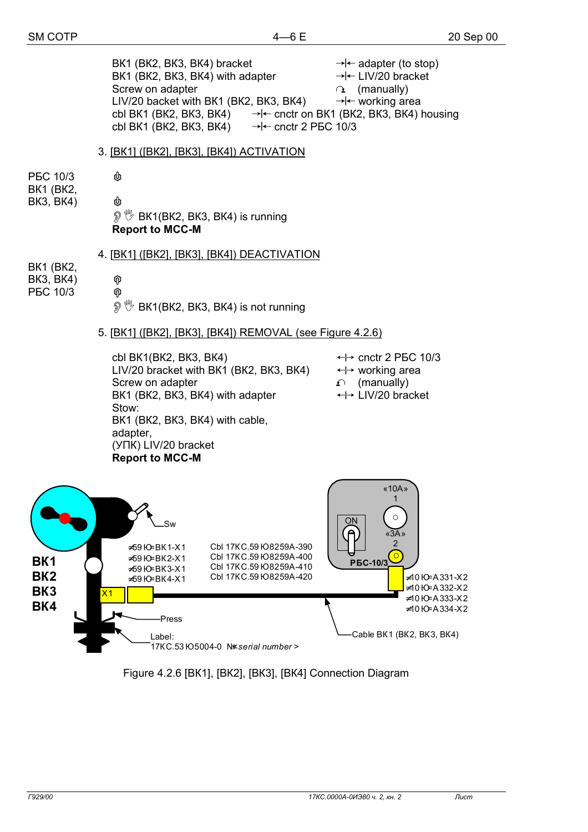BK1 (BK2, BK3, BK4) bracket  $\rightarrow$   $\leftarrow$  adapter (to stop) BK1 (BK2, BK3, BK4) with adapter  $\rightarrow$  - $\leftarrow$  LIV/20 bracket Screw on adapter  $\alpha$  (manually) LIV/20 backet with BK1 (BK2, BK3, BK4)  $\rightarrow$  + working area cbl BK1 (BK2, BK3, BK4)  $\rightarrow$   $\leftarrow$  cnctr on BK1 (BK2, BK3, BK4) housing cbl BK1 (BK2, BK3, BK4)  $\rightarrow$   $\leftarrow$  cnctr 2 P5C 10/3 3. [ВК1] ([ВК2], [ВК3], [ВК4]) ACTIVATION РБС 10/3  $\qquad \qquad \Phi$ ВК1 (ВК2, ВК3, ВК4) **\$** <sup>19</sup> BK1(BK2, BK3, BK4) is running **Report to MCC-M** 4. [ВК1] ([ВК2], [ВК3], [ВК4]) DEACTIVATION ВК1 (ВК2, ВК3, ВК4) % РБС 10/3 %  $\mathcal{D} \overset{\text{\tiny{\textsf{(W}}}}{\rightarrow}$  BK1(BK2, BK3, BK4) is not running 5. [ВК1] ([ВК2], [ВК3], [ВК4]) REMOVAL (see Figure 4.2.6) cbl BK1(BK2, BK3, BK4)  $\leftrightarrow$  cnctr 2 P5C 10/3 LIV/20 bracket with BK1 (BK2, BK3, BK4)  $\longleftrightarrow$  working area Screw on adapter  $\Gamma$  (manually) BK1 (BK2, BK3, BK4) with adapter  $\longleftrightarrow$  LIV/20 bracket Stow: ВК1 (ВК2, ВК3, ВК4) with cable, adapter, (УПК) LIV/20 bracket **Report to MCC-M**  «10А» 1  $\circ$ ON Sw  $3A<sup>3</sup>$ 2 Cbl 17КС.59 Ю 8259А-390 ≠59 Ю=ВК1-Х1 ်ဝ Cbl 17КС.59 Ю 8259А-400 ≠59 Ю=ВК2-Х1 **ВК1 РБС-10/3** Cbl 17КС.59 Ю 8259А-410 ≠59 Ю=ВК3-Х1 **ВК2** Cbl 17КС.59 Ю 8259А-420 ≠10 Ю=А331-Х2 ≠59 Ю=ВК4-Х1 ≠10 Ю=А332-Х2 **ВК3** Х1 ≠10 Ю=А333-Х2 **ВК4** ≠10 Ю=А334-Х2 Press Cable ВК1 (ВК2, ВК3, ВК4) Label: 17KC.53 Ю 5004-0 N serial number >

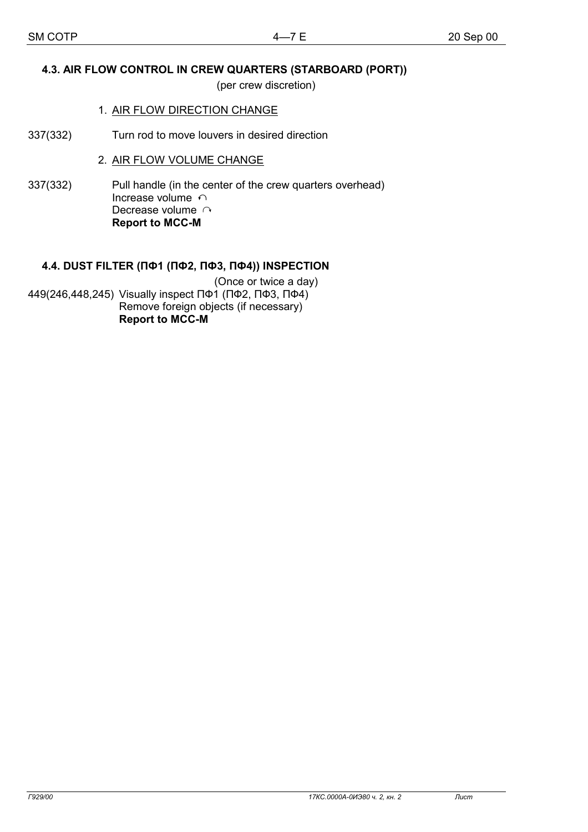# **4.3. AIR FLOW CONTROL IN CREW QUARTERS (STARBOARD (PORT))**

(per crew discretion)

### 1. AIR FLOW DIRECTION CHANGE

337(332) Turn rod to move louvers in desired direction

# 2. AIR FLOW VOLUME CHANGE

337(332) Pull handle (in the center of the crew quarters overhead) Increase volume  $\cap$ Decrease volume  $\cap$ **Report to MCC-M** 

# **4.4. DUST FILTER (ПФ1 (ПФ2, ПФ3, ПФ4)) INSPECTION**

(Once or twice a day) 449(246,448,245) Visually inspect ПФ1 (ПФ2, ПФ3, ПФ4) Remove foreign objects (if necessary) **Report to MCC-M**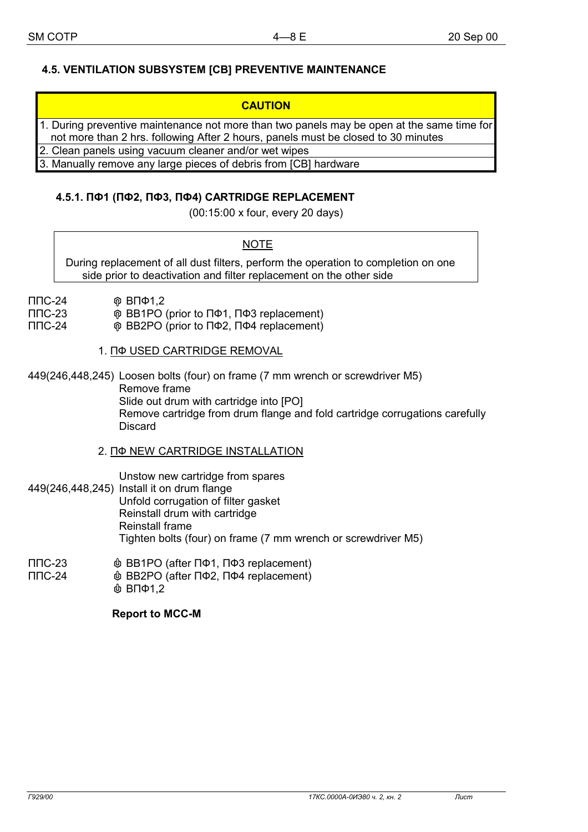# **4.5. VENTILATION SUBSYSTEM [СВ] PREVENTIVE MAINTENANCE**

| 1. During preventive maintenance not more than two panels may be open at the same time for<br>not more than 2 hrs. following After 2 hours, panels must be closed to 30 minutes |
|---------------------------------------------------------------------------------------------------------------------------------------------------------------------------------|
| 2. Clean panels using vacuum cleaner and/or wet wipes                                                                                                                           |
| 3. Manually remove any large pieces of debris from [CB] hardware                                                                                                                |

## **4.5.1. ПФ1 (ПФ2, ПФ3, ПФ4) CARTRIDGE REPLACEMENT**

(00:15:00 х four, every 20 days)

**NOTE** 

During replacement of all dust filters, perform the operation to completion on one side prior to deactivation and filter replacement on the other side

- ППС-24 % ВПФ1,2
- ППС-23 % ВВ1РО (prior to ПФ1, ПФ3 replacement)
- ППС-24 % ВВ2РО (prior to ПФ2, ПФ4 replacement)
	- 1. ПФ USED CARTRIDGE REMOVAL

449(246,448,245) Loosen bolts (four) on frame (7 mm wrench or screwdriver М5) Remove frame Slide out drum with cartridge into [РО] Remove cartridge from drum flange and fold cartridge corrugations carefully **Discard** 

2. ПФ NEW CARTRIDGE INSTALLATION

 Unstow new cartridge from spares 449(246,448,245) Install it on drum flange Unfold corrugation of filter gasket Reinstall drum with cartridge Reinstall frame Tighten bolts (four) on frame (7 mm wrench or screwdriver М5)

- ППС-23  $\qquad \qquad \bullet$  BB1PO (after ПФ1, ПФ3 replacement)
- ППС-24  $\qquad \qquad \Phi$  BB2PO (after ПФ2, ПФ4 replacement)  $&$  ВПФ1,2

**Report to MCC-M**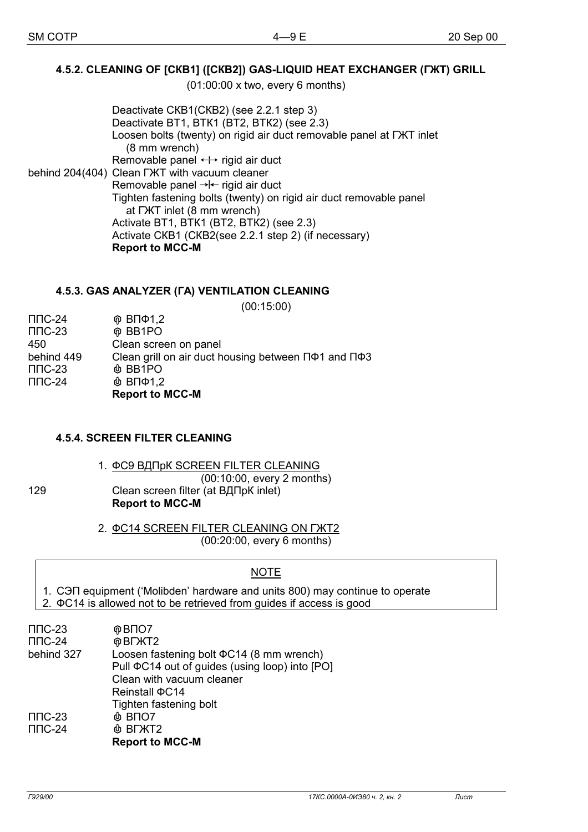# **4.5.2. CLEANING OF [СКВ1] ([СКВ2]) GAS-LIQUID HEAT EXCHANGER (ГЖТ) GRILL**

(01:00:00 х two, every 6 months)

 Deactivate СКВ1(СКВ2) (see 2.2.1 step 3) Deactivate ВТ1, ВТК1 (ВТ2, ВТК2) (see 2.3) Loosen bolts (twenty) on rigid air duct removable panel at ГЖТ inlet (8 mm wrench) Removable panel  $\leftrightarrow$  rigid air duct behind 204(404) Clean ГЖТ with vacuum cleaner Removable panel  $\rightarrow$  rigid air duct Tighten fastening bolts (twenty) on rigid air duct removable panel at ГЖТ inlet (8 mm wrench) Activate ВТ1, ВТК1 (ВТ2, ВТК2) (see 2.3) Activate СКВ1 (СКВ2(see 2.2.1 step 2) (if necessary) **Report to MCC-M** 

### **4.5.3. GAS ANALYZER (ГА) VENTILATION CLEANING**

(00:15:00) ППС-24 % ВПФ1,2 ППС-23 % ВВ1РО 450 Clean screen on panel behind 449 Clean grill on air duct housing between ПФ1 and ПФ3  $\Pi$ ПС-23  $\qquad \qquad \Phi$  ВВ1РО  $\Pi$ ПС-24  $\Phi$  ВПФ1.2 **Report to MCC-M** 

## **4.5.4. SCREEN FILTER CLEANING**

 1. ФС9 ВДПрК SCREEN FILTER CLEANING (00:10:00, every 2 months) 129 Clean screen filter (at ВДПрК inlet) **Report to MCC-M** 

> 2. ФС14 SCREEN FILTER CLEANING ON ГЖТ2 (00:20:00, every 6 months)

## **NOTE**

- 1. СЭП equipment ('Molibden' hardware and units 800) may continue to operate
- 2. ФС14 is allowed not to be retrieved from guides if access is good

| $\Pi$ $C$ -23        | @BIO7                                                |
|----------------------|------------------------------------------------------|
| $\Pi$ <sup>-24</sup> | <b>@BLXT2</b>                                        |
| behind 327           | Loosen fastening bolt $\Phi$ C14 (8 mm wrench)       |
|                      | Pull $\Phi$ C14 out of guides (using loop) into [PO] |
|                      | Clean with vacuum cleaner                            |
|                      | Reinstall $\Phi$ C14                                 |
|                      | Tighten fastening bolt                               |
| $\Pi$ $C$ -23        | $@$ BNO7                                             |
| $\Pi$ <sup>-24</sup> | <b>&amp; BLXT2</b>                                   |
|                      | <b>Report to MCC-M</b>                               |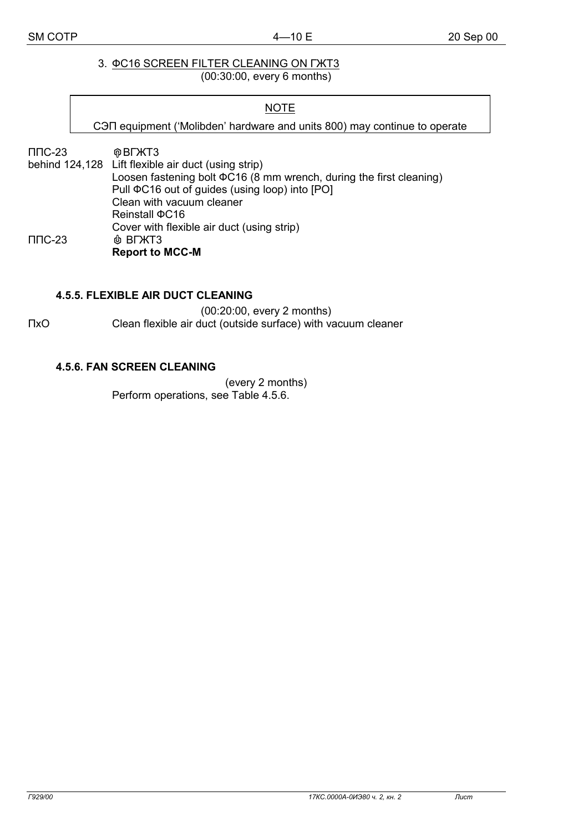#### 3. ФС16 SCREEN FILTER CLEANING ON ГЖТ3 (00:30:00, every 6 months)

#### **NOTE**

СЭП equipment ('Molibden' hardware and units 800) may continue to operate

ППС-23 %ВГЖТ3

behind 124,128 Lift flexible air duct (using strip) Loosen fastening bolt ФС16 (8 mm wrench, during the first cleaning) Pull ФС16 out of guides (using loop) into [РО] Clean with vacuum cleaner Reinstall ФС16 Cover with flexible air duct (using strip)  $\Pi$ ППС-23  $\qquad \qquad \oplus$  ВГЖТЗ **Report to MCC-M** 

### **4.5.5. FLEXIBLE AIR DUCT CLEANING**

(00:20:00, every 2 months) ПхО Clean flexible air duct (outside surface) with vacuum cleaner

### **4.5.6. FAN SCREEN CLEANING**

(every 2 months) Perform operations, see Table 4.5.6.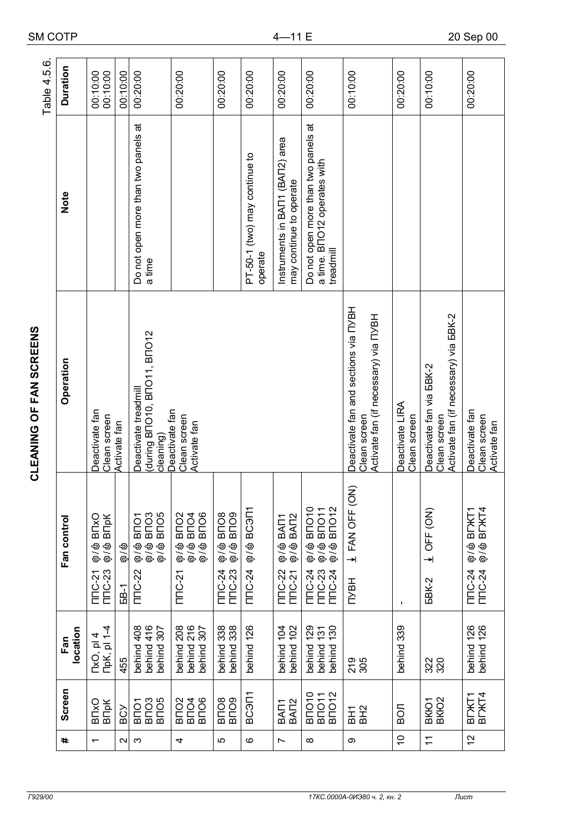| ŕ<br>í |  |
|--------|--|
|        |  |
| I<br>١ |  |
| ŕ      |  |

|             | <b>Duration</b> |                                                                                                                                                                     |                      |                                                                                                                                                                                                                                                                   |                                                                                                                      |                                                                    |                                          |                                                            |                                                                                                                                             |                                                           |                                                                                                 |                                                |                                                                  |
|-------------|-----------------|---------------------------------------------------------------------------------------------------------------------------------------------------------------------|----------------------|-------------------------------------------------------------------------------------------------------------------------------------------------------------------------------------------------------------------------------------------------------------------|----------------------------------------------------------------------------------------------------------------------|--------------------------------------------------------------------|------------------------------------------|------------------------------------------------------------|---------------------------------------------------------------------------------------------------------------------------------------------|-----------------------------------------------------------|-------------------------------------------------------------------------------------------------|------------------------------------------------|------------------------------------------------------------------|
| Table 4.5.6 |                 | 00:10:00<br>00:10:00                                                                                                                                                | 00:10:00             | 00:20:00                                                                                                                                                                                                                                                          | 00:20:00                                                                                                             | 00:20:00                                                           | 00:20:00                                 | 00:20:00                                                   | 00:20:00                                                                                                                                    | 00:10:00                                                  | 00:20:00                                                                                        | 00:10:00                                       | 00:20:00                                                         |
|             | Note            |                                                                                                                                                                     |                      | Do not open more than two panels at<br>a time                                                                                                                                                                                                                     |                                                                                                                      |                                                                    | PT-50-1 (two) may continue to<br>operate | Instruments in BAI1 (BAI2) area<br>may continue to operate | Do not open more than two panels at<br>a time. B <sub>IO</sub> 12 operates with<br>treadmill                                                |                                                           |                                                                                                 |                                                |                                                                  |
|             | Operation       | during BNO10, BNO11, BNO12<br>Deactivate treadmill<br>Deactivate fan<br>Deactivate fan<br>Clean screen<br>Clean screen<br>Activate fan<br>Activate fan<br>cleaning) |                      |                                                                                                                                                                                                                                                                   |                                                                                                                      |                                                                    |                                          |                                                            | Deactivate fan and sections via NYBH<br>Activate fan (if necessary) via NYBH<br>Clean screen                                                | Deactivate LIRA<br>Clean screen                           | Activate fan (if necessary) via <b>5BK-2</b><br>Deactivate fan via <b>BBK-2</b><br>Clean screen | Deactivate fan<br>Clean screen<br>Activate fan |                                                                  |
|             | Fan control     | <b>BITXO</b><br><b>B</b> <sub>p</sub> k<br>@\<br>ල<br><b>ම</b> ්ල<br><b>TITC-23</b><br>NTC-21                                                                       | ල / ල<br><b>68-1</b> | B <sub>NO</sub> 5<br>$\frac{1}{2}$ $\frac{1}{2}$ $\frac{1}{2}$ $\frac{1}{2}$ $\frac{1}{2}$ $\frac{1}{2}$ $\frac{1}{2}$ $\frac{1}{2}$ $\frac{1}{2}$ $\frac{1}{2}$ $\frac{1}{2}$ $\frac{1}{2}$<br>B <sub>LO</sub> L<br><b>ම</b> ්ල<br><b>ବ</b> /ବ<br><b>TTTC-22</b> | B <sub>NC2</sub><br>B <sub>LO</sub> 4<br>B <sub>NO</sub> 6<br><b>ම</b> ්ල<br><b>ව</b> ්ත<br><b>ම / ම</b><br>$TTC-21$ | <b>BUOB</b><br>BUOB<br><del>ව</del><br>ලි ලි<br>TITC-24<br>TITC-23 | <b>PIGOB @/@</b><br><b>TITC-24</b>       | ଡ଼/� BAN1<br>ଡ଼/� BAN2<br><b>TTTC-22</b><br>TITC-21        | Ф∕Ф ВПО10<br>$\frac{\partial}{\partial \theta}$ & BNO11<br>$\frac{\partial}{\partial \theta}$ BNO12<br>TITC-23<br>TITC-24<br><b>TITC-24</b> | $\widehat{z}$<br>$\frac{1}{2}$ FAN OFF (O<br><b>TIVBH</b> | $\mathbf I$                                                                                     | $\frac{1}{2}$ OFF (ON)<br><b>5BK-2</b>         | <b>ଡ଼/</b> � BI`XT1<br>ଡ଼/ � BI`XT4<br><b>TITC-24</b><br>TITC-24 |
|             | location<br>Fan | ПрК, pl 1-4<br>4<br>TxO, pl                                                                                                                                         | 455                  | behind 416<br>behind 408<br>behind 307                                                                                                                                                                                                                            | behind 208<br>behind 216<br>behind 307                                                                               | behind 338<br>behind 338<br>behind:                                | behind 126                               | behind 102<br>behind 104                                   | behind 130<br>behind 129<br>behind 131                                                                                                      | 219<br>305                                                | behind 339                                                                                      | 320                                            | behind 126<br>behind 126                                         |
|             | Screen          | <b>B</b> <sub>p</sub> K<br>B <sub>L</sub> xO                                                                                                                        | BCY                  | <b>BLO3</b><br>BLO2<br><b>BITO1</b>                                                                                                                                                                                                                               | BNO2<br>BNO4<br>B <sub>NO</sub> 6                                                                                    | <b>BLIOS</b><br>BLIOS                                              | BC <sub>3</sub> N1                       | BA <sub>7</sub> 2<br>BAT <sub>1</sub>                      | <b>BNO11</b><br><b>BNO12</b><br><b>BITO10</b>                                                                                               | 요도<br>BH2                                                 | <b>BOJ</b>                                                                                      | BKKO1<br>BKKO2                                 | B <sub>I</sub> XT4<br>BDKT1                                      |
|             | #               | $\overline{\phantom{0}}$                                                                                                                                            | $\sim$               | ς                                                                                                                                                                                                                                                                 | 4                                                                                                                    | 5                                                                  | ဖ                                        | L                                                          | $\infty$                                                                                                                                    | σ                                                         | $\tilde{=}$                                                                                     | $\tilde{+}$                                    | 57                                                               |

4—11 E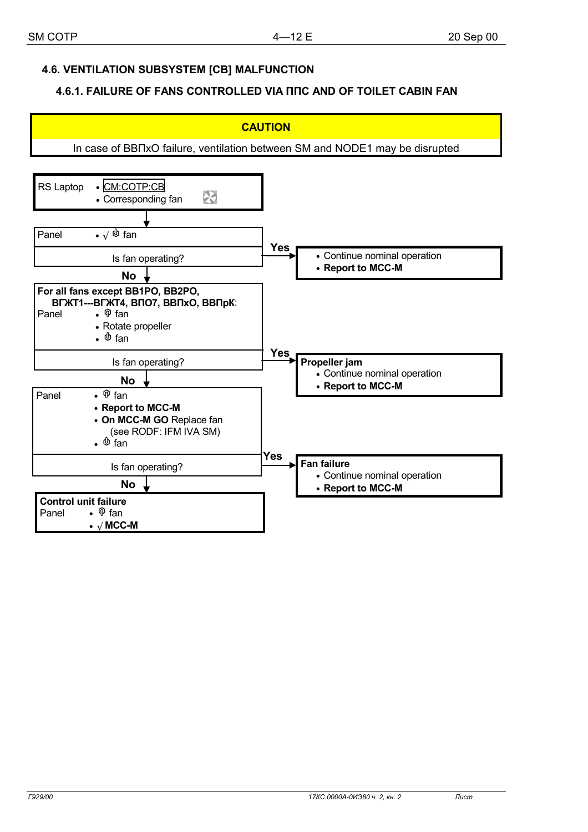## **4.6. VENTILATION SUBSYSTEM [СВ] MALFUNCTION**

### **4.6.1. FAILURE OF FANS CONTROLLED VIA ППС AND OF TOILET CABIN FAN**

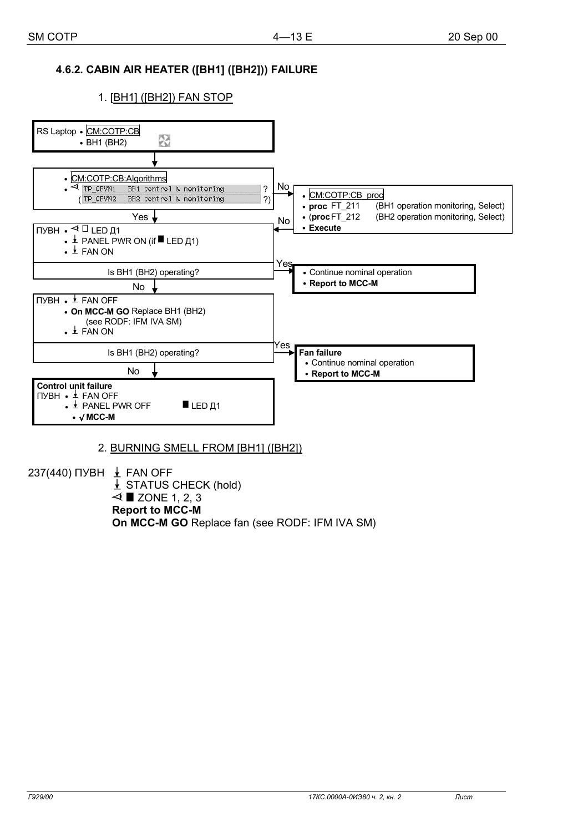# **4.6.2. CABIN AIR HEATER ([ВН1] ([ВН2])) FAILURE**

### 1. [ВН1] ([ВН2]) FAN STOP



### 2. BURNING SMELL FROM [ВН1] ([ВН2])

237(440) ПУВН  $\pm$  FAN OFF  $\downarrow$  STATUS CHECK (hold)  $\triangleleft$  **E** ZONE 1, 2, 3 **Report to MCC-M On MCC-M GO** Replace fan (see RODF: IFM IVA SM)